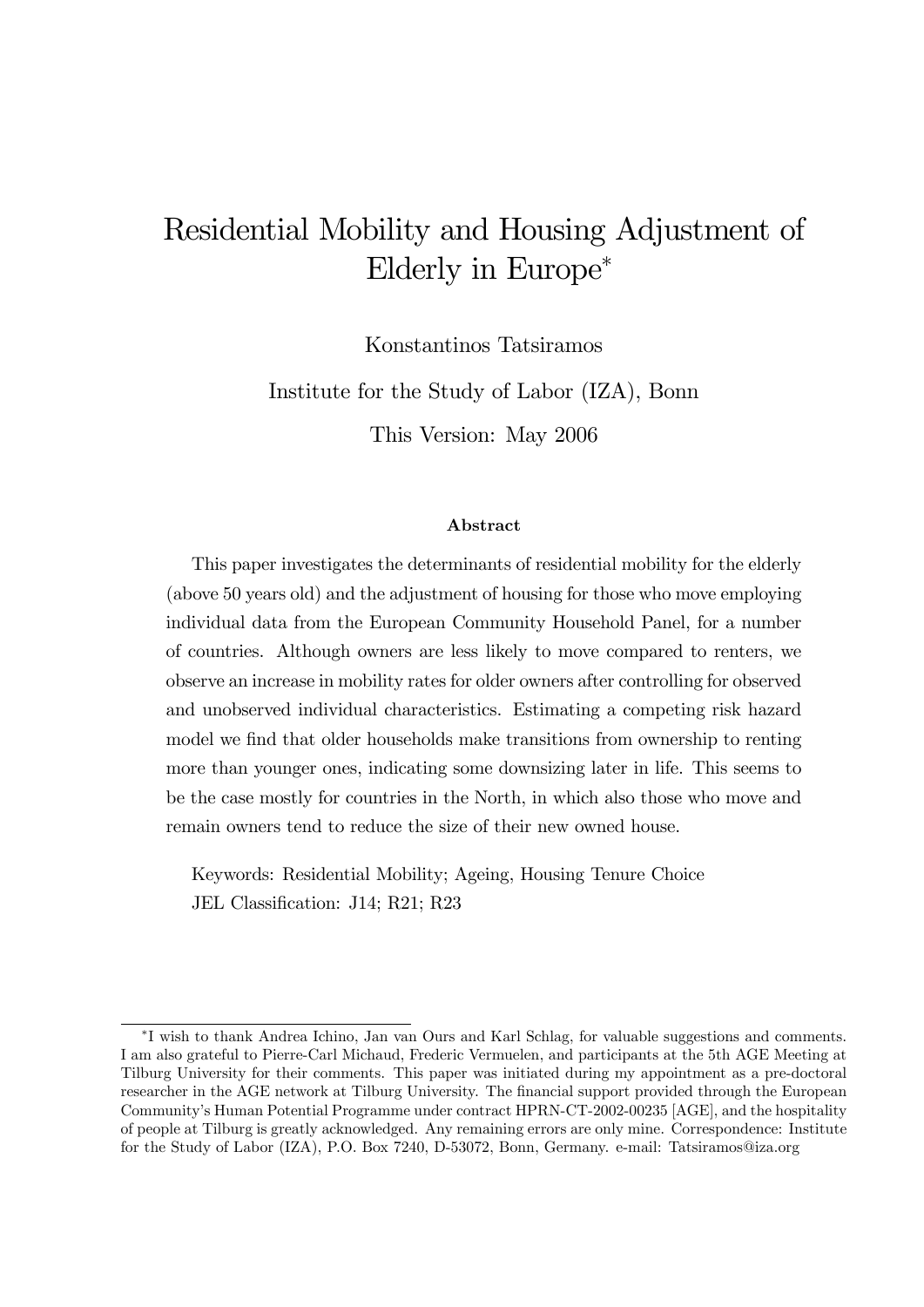# Residential Mobility and Housing Adjustment of Elderly in Europe

Konstantinos Tatsiramos

Institute for the Study of Labor (IZA), Bonn

This Version: May 2006

#### Abstract

This paper investigates the determinants of residential mobility for the elderly (above 50 years old) and the adjustment of housing for those who move employing individual data from the European Community Household Panel, for a number of countries. Although owners are less likely to move compared to renters, we observe an increase in mobility rates for older owners after controlling for observed and unobserved individual characteristics. Estimating a competing risk hazard model we find that older households make transitions from ownership to renting more than younger ones, indicating some downsizing later in life. This seems to be the case mostly for countries in the North, in which also those who move and remain owners tend to reduce the size of their new owned house.

Keywords: Residential Mobility; Ageing, Housing Tenure Choice JEL Classification: J14; R21; R23

I wish to thank Andrea Ichino, Jan van Ours and Karl Schlag, for valuable suggestions and comments. I am also grateful to Pierre-Carl Michaud, Frederic Vermuelen, and participants at the 5th AGE Meeting at Tilburg University for their comments. This paper was initiated during my appointment as a pre-doctoral researcher in the AGE network at Tilburg University. The financial support provided through the European Communityís Human Potential Programme under contract HPRN-CT-2002-00235 [AGE], and the hospitality of people at Tilburg is greatly acknowledged. Any remaining errors are only mine. Correspondence: Institute for the Study of Labor (IZA), P.O. Box 7240, D-53072, Bonn, Germany. e-mail: Tatsiramos@iza.org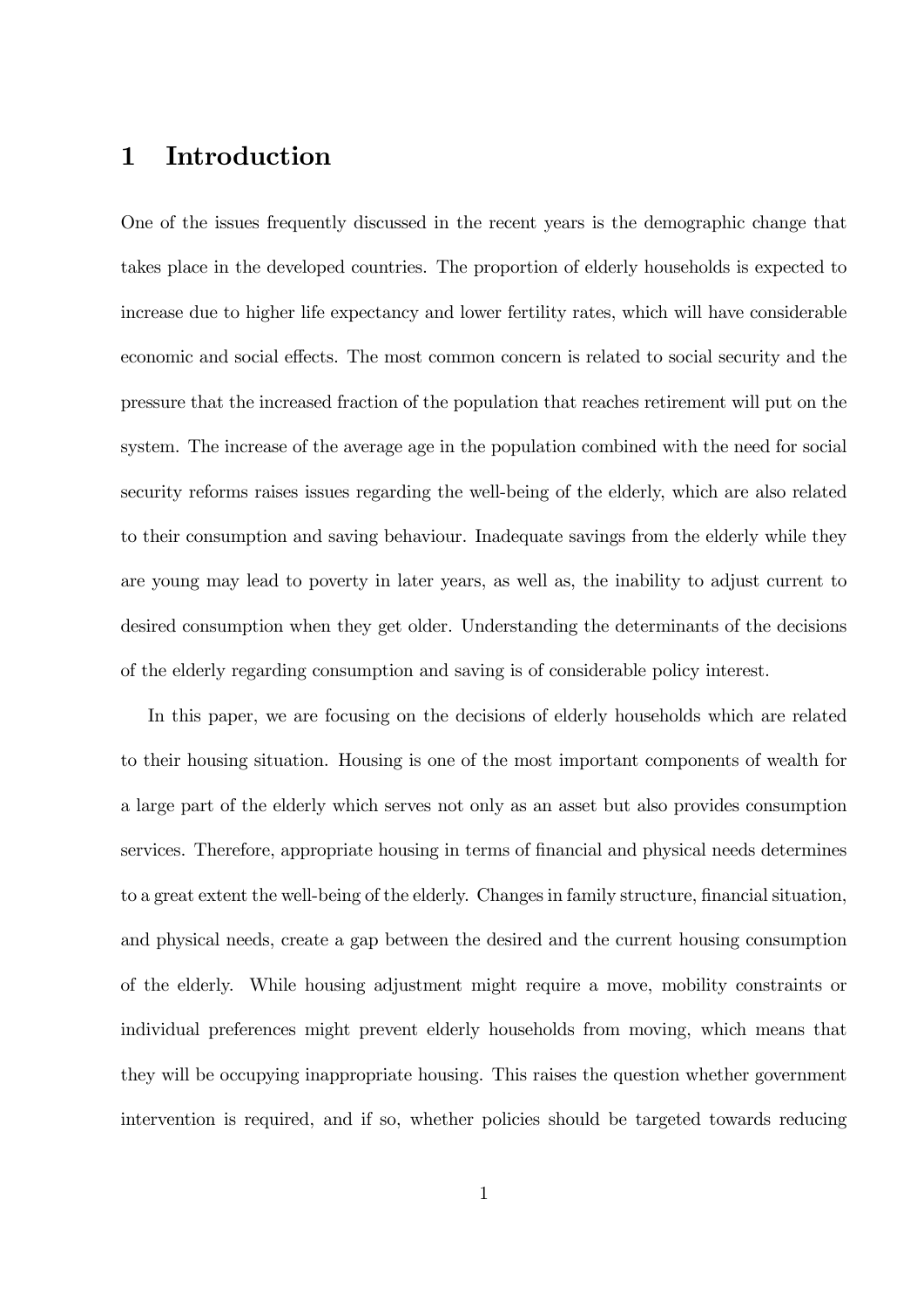# 1 Introduction

One of the issues frequently discussed in the recent years is the demographic change that takes place in the developed countries. The proportion of elderly households is expected to increase due to higher life expectancy and lower fertility rates, which will have considerable economic and social effects. The most common concern is related to social security and the pressure that the increased fraction of the population that reaches retirement will put on the system. The increase of the average age in the population combined with the need for social security reforms raises issues regarding the well-being of the elderly, which are also related to their consumption and saving behaviour. Inadequate savings from the elderly while they are young may lead to poverty in later years, as well as, the inability to adjust current to desired consumption when they get older. Understanding the determinants of the decisions of the elderly regarding consumption and saving is of considerable policy interest.

In this paper, we are focusing on the decisions of elderly households which are related to their housing situation. Housing is one of the most important components of wealth for a large part of the elderly which serves not only as an asset but also provides consumption services. Therefore, appropriate housing in terms of financial and physical needs determines to a great extent the well-being of the elderly. Changes in family structure, financial situation, and physical needs, create a gap between the desired and the current housing consumption of the elderly. While housing adjustment might require a move, mobility constraints or individual preferences might prevent elderly households from moving, which means that they will be occupying inappropriate housing. This raises the question whether government intervention is required, and if so, whether policies should be targeted towards reducing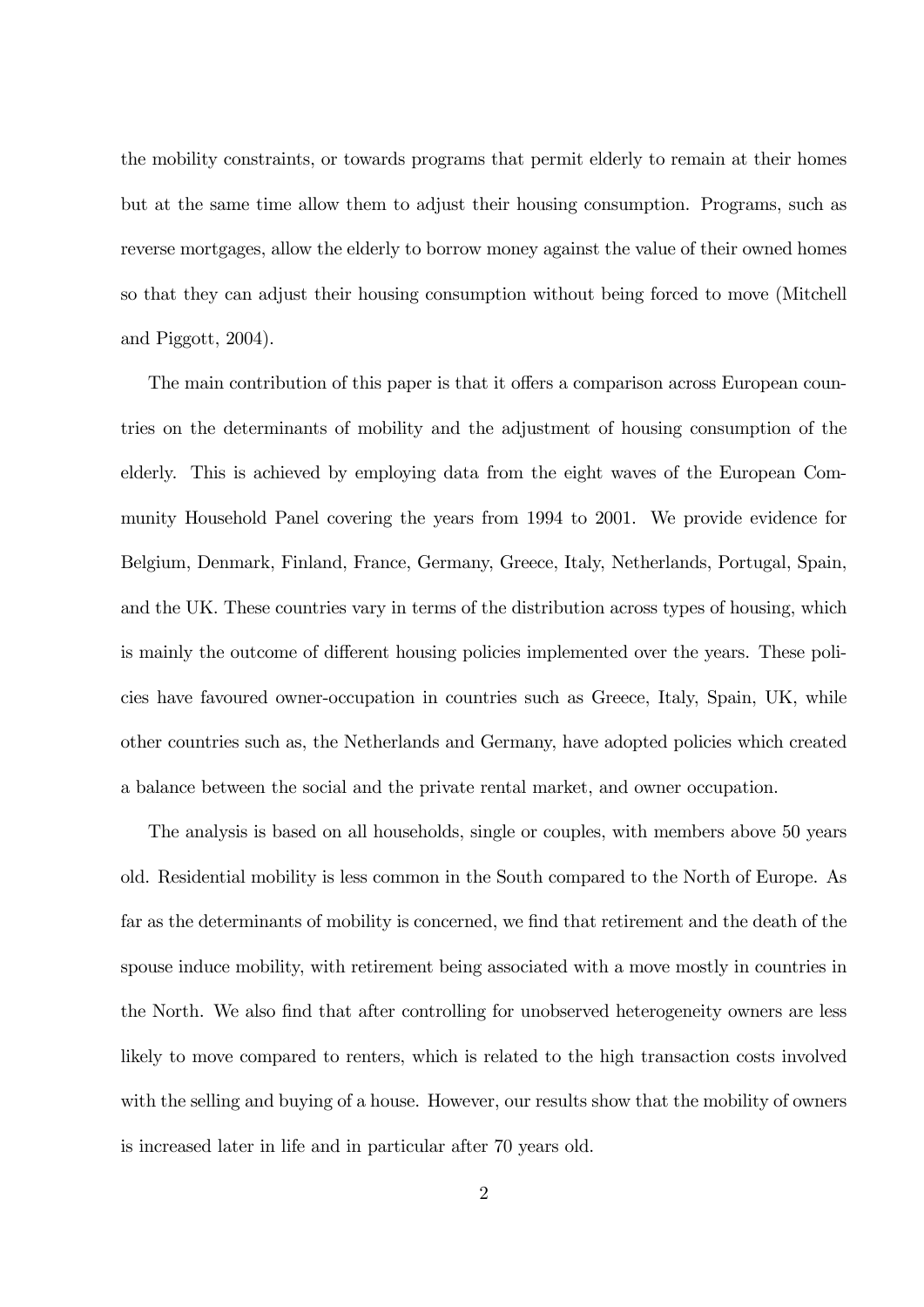the mobility constraints, or towards programs that permit elderly to remain at their homes but at the same time allow them to adjust their housing consumption. Programs, such as reverse mortgages, allow the elderly to borrow money against the value of their owned homes so that they can adjust their housing consumption without being forced to move (Mitchell and Piggott, 2004).

The main contribution of this paper is that it offers a comparison across European countries on the determinants of mobility and the adjustment of housing consumption of the elderly. This is achieved by employing data from the eight waves of the European Community Household Panel covering the years from 1994 to 2001. We provide evidence for Belgium, Denmark, Finland, France, Germany, Greece, Italy, Netherlands, Portugal, Spain, and the UK. These countries vary in terms of the distribution across types of housing, which is mainly the outcome of different housing policies implemented over the years. These policies have favoured owner-occupation in countries such as Greece, Italy, Spain, UK, while other countries such as, the Netherlands and Germany, have adopted policies which created a balance between the social and the private rental market, and owner occupation.

The analysis is based on all households, single or couples, with members above 50 years old. Residential mobility is less common in the South compared to the North of Europe. As far as the determinants of mobility is concerned, we find that retirement and the death of the spouse induce mobility, with retirement being associated with a move mostly in countries in the North. We also find that after controlling for unobserved heterogeneity owners are less likely to move compared to renters, which is related to the high transaction costs involved with the selling and buying of a house. However, our results show that the mobility of owners is increased later in life and in particular after 70 years old.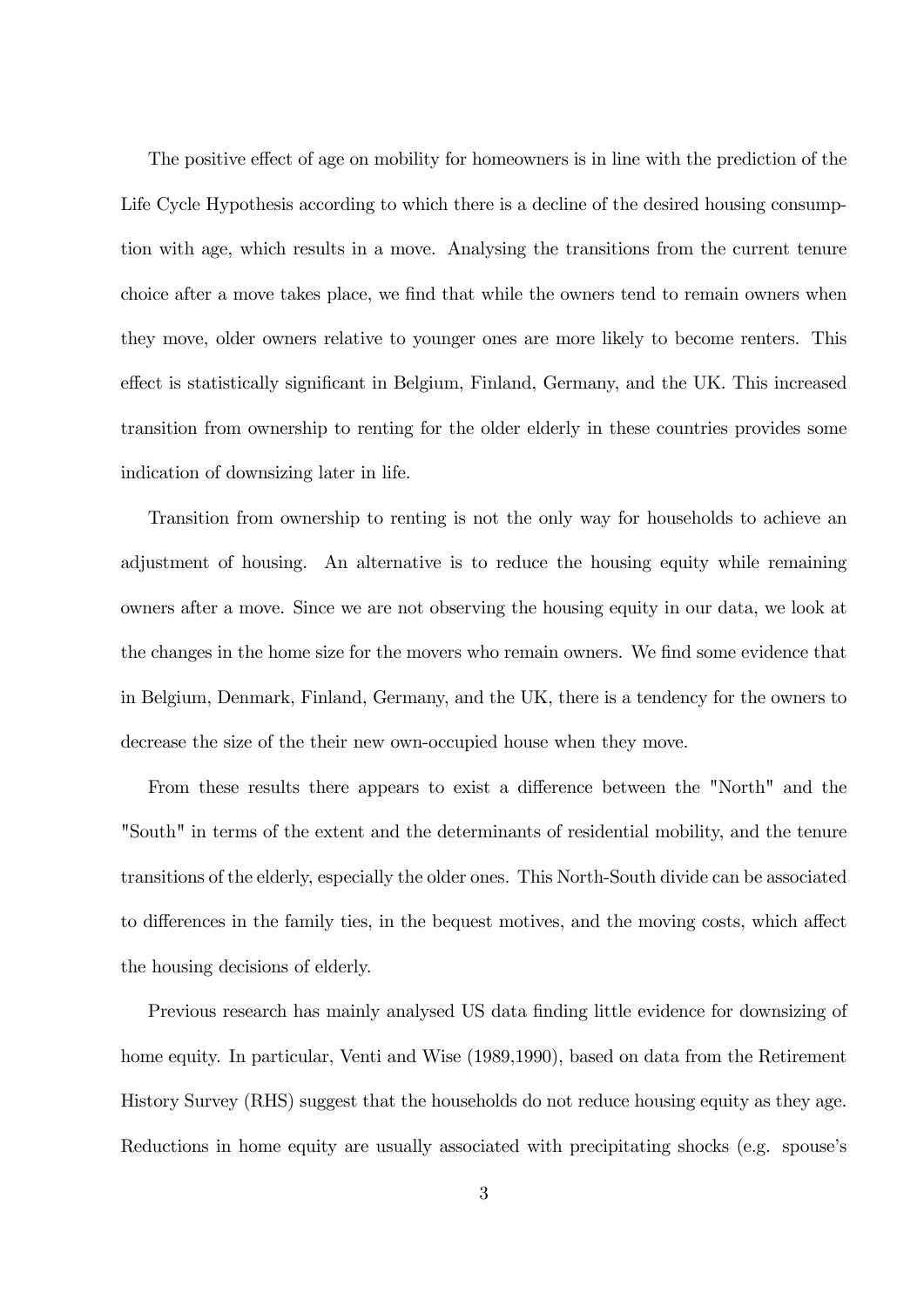The positive effect of age on mobility for homeowners is in line with the prediction of the Life Cycle Hypothesis according to which there is a decline of the desired housing consumption with age, which results in a move. Analysing the transitions from the current tenure choice after a move takes place, we find that while the owners tend to remain owners when they move, older owners relative to younger ones are more likely to become renters. This effect is statistically significant in Belgium, Finland, Germany, and the UK. This increased transition from ownership to renting for the older elderly in these countries provides some indication of downsizing later in life.

Transition from ownership to renting is not the only way for households to achieve an adjustment of housing. An alternative is to reduce the housing equity while remaining owners after a move. Since we are not observing the housing equity in our data, we look at the changes in the home size for the movers who remain owners. We find some evidence that in Belgium, Denmark, Finland, Germany, and the UK, there is a tendency for the owners to decrease the size of the their new own-occupied house when they move.

From these results there appears to exist a difference between the "North" and the "South" in terms of the extent and the determinants of residential mobility, and the tenure transitions of the elderly, especially the older ones. This North-South divide can be associated to differences in the family ties, in the bequest motives, and the moving costs, which affect the housing decisions of elderly.

Previous research has mainly analysed US data finding little evidence for downsizing of home equity. In particular, Venti and Wise (1989,1990), based on data from the Retirement History Survey (RHS) suggest that the households do not reduce housing equity as they age. Reductions in home equity are usually associated with precipitating shocks (e.g. spouse's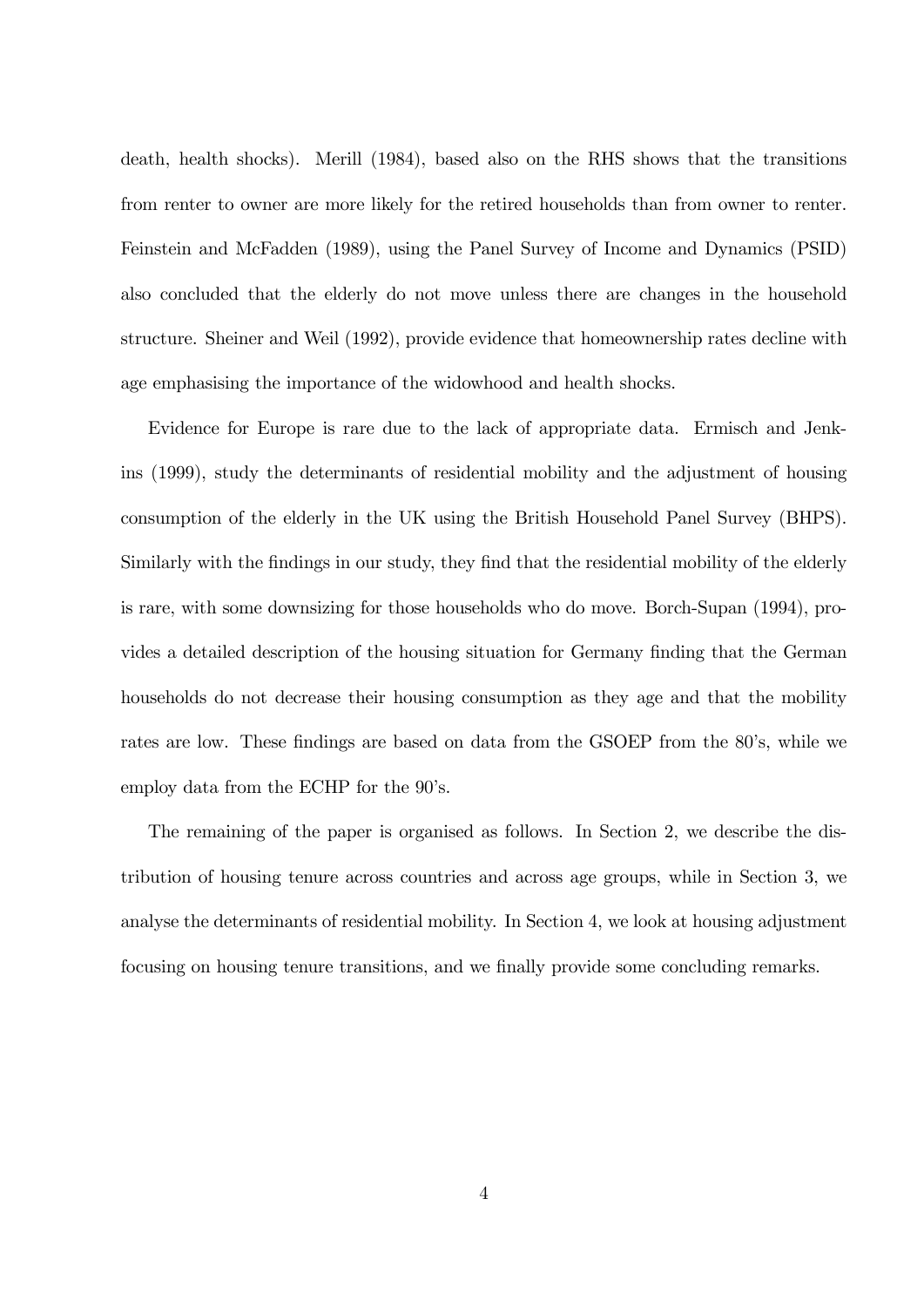death, health shocks). Merill (1984), based also on the RHS shows that the transitions from renter to owner are more likely for the retired households than from owner to renter. Feinstein and McFadden (1989), using the Panel Survey of Income and Dynamics (PSID) also concluded that the elderly do not move unless there are changes in the household structure. Sheiner and Weil (1992), provide evidence that homeownership rates decline with age emphasising the importance of the widowhood and health shocks.

Evidence for Europe is rare due to the lack of appropriate data. Ermisch and Jenkins (1999), study the determinants of residential mobility and the adjustment of housing consumption of the elderly in the UK using the British Household Panel Survey (BHPS). Similarly with the findings in our study, they find that the residential mobility of the elderly is rare, with some downsizing for those households who do move. Borch-Supan (1994), provides a detailed description of the housing situation for Germany finding that the German households do not decrease their housing consumption as they age and that the mobility rates are low. These findings are based on data from the GSOEP from the 80's, while we employ data from the ECHP for the  $90$ 's.

The remaining of the paper is organised as follows. In Section 2, we describe the distribution of housing tenure across countries and across age groups, while in Section 3, we analyse the determinants of residential mobility. In Section 4, we look at housing adjustment focusing on housing tenure transitions, and we finally provide some concluding remarks.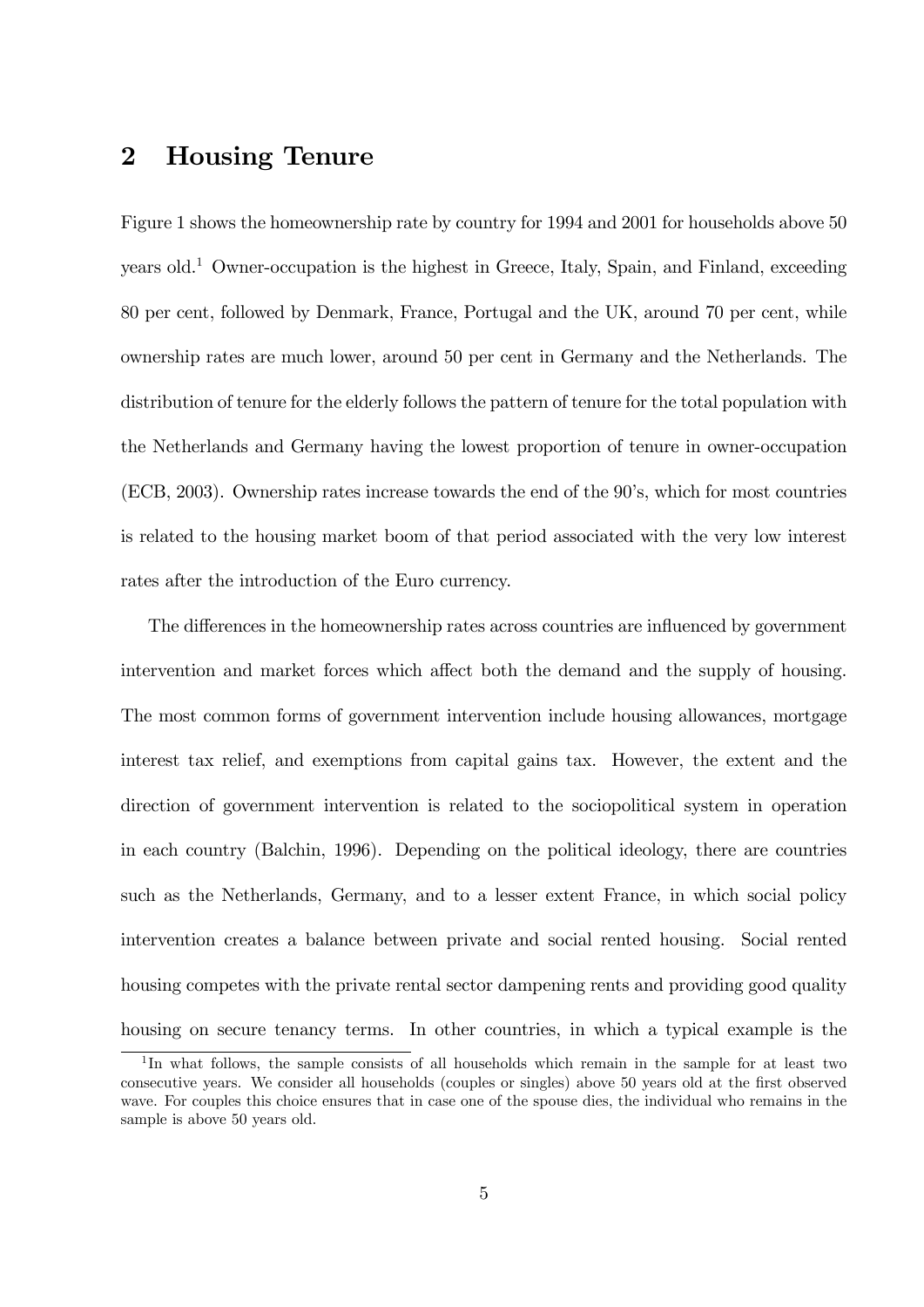### 2 Housing Tenure

Figure 1 shows the homeownership rate by country for 1994 and 2001 for households above 50 years old.<sup>1</sup> Owner-occupation is the highest in Greece, Italy, Spain, and Finland, exceeding 80 per cent, followed by Denmark, France, Portugal and the UK, around 70 per cent, while ownership rates are much lower, around 50 per cent in Germany and the Netherlands. The distribution of tenure for the elderly follows the pattern of tenure for the total population with the Netherlands and Germany having the lowest proportion of tenure in owner-occupation (ECB, 2003). Ownership rates increase towards the end of the 90's, which for most countries is related to the housing market boom of that period associated with the very low interest rates after the introduction of the Euro currency.

The differences in the homeownership rates across countries are influenced by government intervention and market forces which affect both the demand and the supply of housing. The most common forms of government intervention include housing allowances, mortgage interest tax relief, and exemptions from capital gains tax. However, the extent and the direction of government intervention is related to the sociopolitical system in operation in each country (Balchin, 1996). Depending on the political ideology, there are countries such as the Netherlands, Germany, and to a lesser extent France, in which social policy intervention creates a balance between private and social rented housing. Social rented housing competes with the private rental sector dampening rents and providing good quality housing on secure tenancy terms. In other countries, in which a typical example is the

<sup>&</sup>lt;sup>1</sup>In what follows, the sample consists of all households which remain in the sample for at least two consecutive years. We consider all households (couples or singles) above 50 years old at the first observed wave. For couples this choice ensures that in case one of the spouse dies, the individual who remains in the sample is above 50 years old.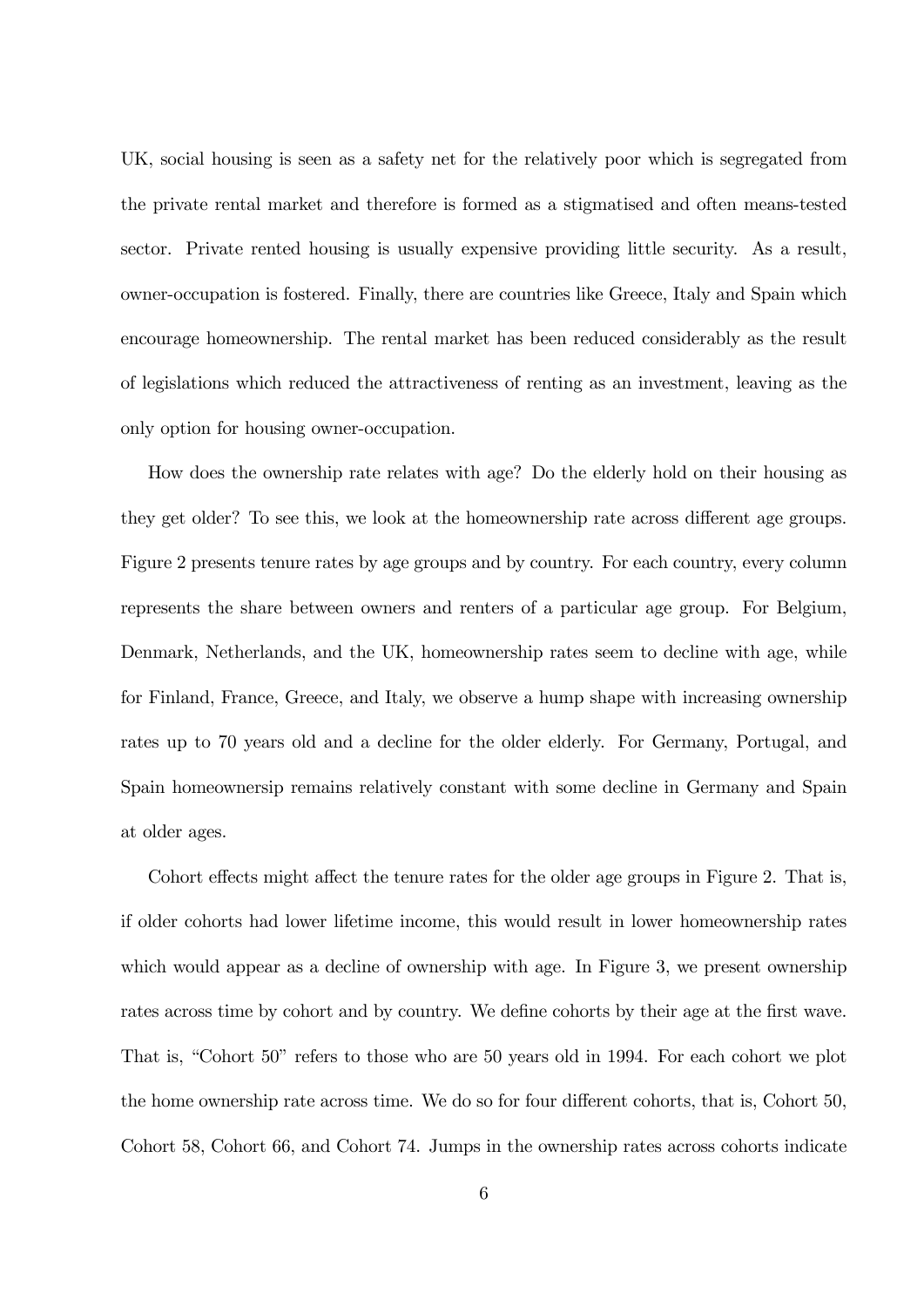UK, social housing is seen as a safety net for the relatively poor which is segregated from the private rental market and therefore is formed as a stigmatised and often means-tested sector. Private rented housing is usually expensive providing little security. As a result, owner-occupation is fostered. Finally, there are countries like Greece, Italy and Spain which encourage homeownership. The rental market has been reduced considerably as the result of legislations which reduced the attractiveness of renting as an investment, leaving as the only option for housing owner-occupation.

How does the ownership rate relates with age? Do the elderly hold on their housing as they get older? To see this, we look at the homeownership rate across different age groups. Figure 2 presents tenure rates by age groups and by country. For each country, every column represents the share between owners and renters of a particular age group. For Belgium, Denmark, Netherlands, and the UK, homeownership rates seem to decline with age, while for Finland, France, Greece, and Italy, we observe a hump shape with increasing ownership rates up to 70 years old and a decline for the older elderly. For Germany, Portugal, and Spain homeownersip remains relatively constant with some decline in Germany and Spain at older ages.

Cohort effects might affect the tenure rates for the older age groups in Figure 2. That is, if older cohorts had lower lifetime income, this would result in lower homeownership rates which would appear as a decline of ownership with age. In Figure 3, we present ownership rates across time by cohort and by country. We define cohorts by their age at the first wave. That is, "Cohort 50" refers to those who are 50 years old in 1994. For each cohort we plot the home ownership rate across time. We do so for four different cohorts, that is, Cohort 50, Cohort 58, Cohort 66, and Cohort 74. Jumps in the ownership rates across cohorts indicate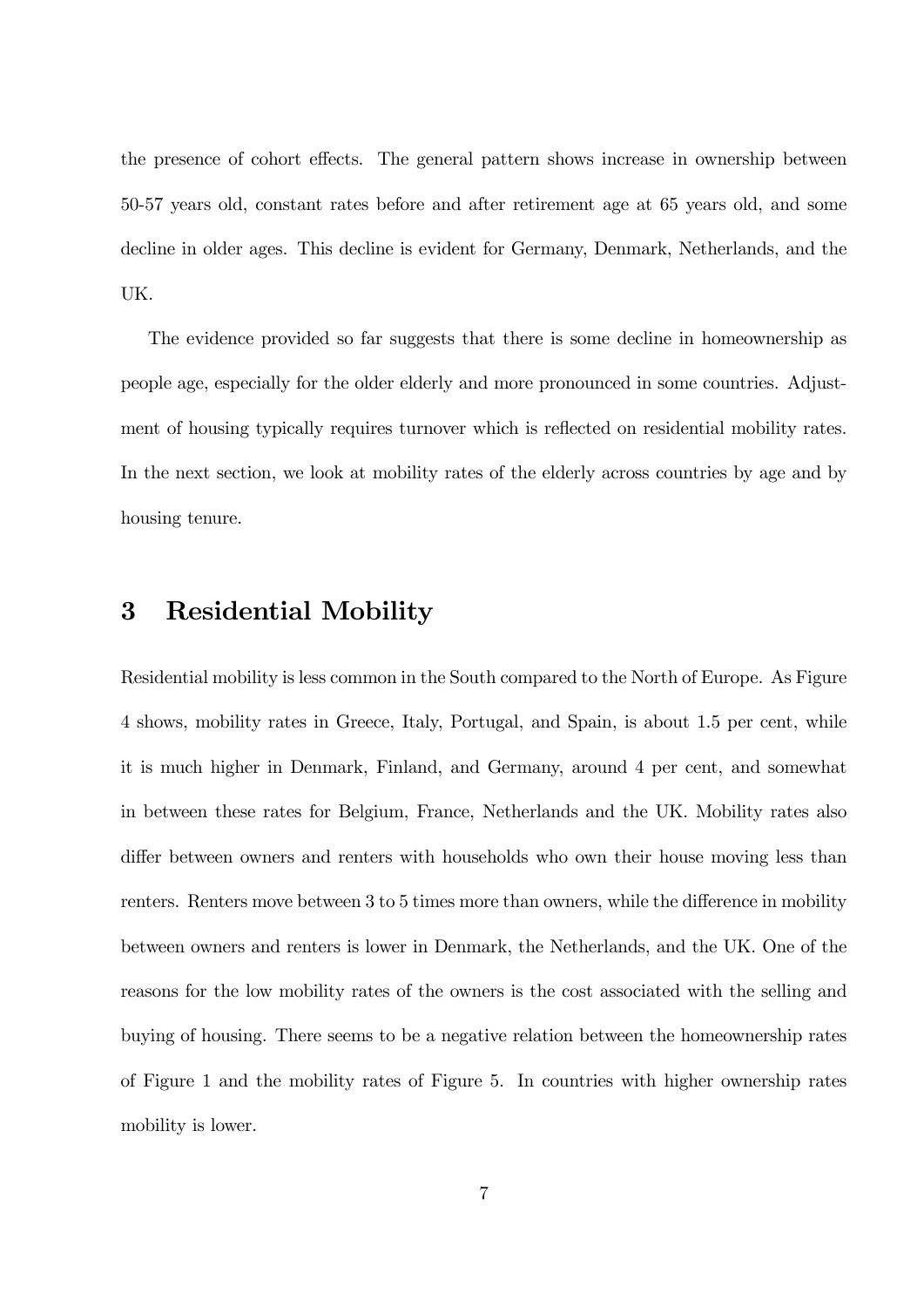the presence of cohort effects. The general pattern shows increase in ownership between 50-57 years old, constant rates before and after retirement age at 65 years old, and some decline in older ages. This decline is evident for Germany, Denmark, Netherlands, and the UK.

The evidence provided so far suggests that there is some decline in homeownership as people age, especially for the older elderly and more pronounced in some countries. Adjustment of housing typically requires turnover which is reflected on residential mobility rates. In the next section, we look at mobility rates of the elderly across countries by age and by housing tenure.

### 3 Residential Mobility

Residential mobility is less common in the South compared to the North of Europe. As Figure 4 shows, mobility rates in Greece, Italy, Portugal, and Spain, is about 1.5 per cent, while it is much higher in Denmark, Finland, and Germany, around 4 per cent, and somewhat in between these rates for Belgium, France, Netherlands and the UK. Mobility rates also differ between owners and renters with households who own their house moving less than renters. Renters move between 3 to 5 times more than owners, while the difference in mobility between owners and renters is lower in Denmark, the Netherlands, and the UK. One of the reasons for the low mobility rates of the owners is the cost associated with the selling and buying of housing. There seems to be a negative relation between the homeownership rates of Figure 1 and the mobility rates of Figure 5. In countries with higher ownership rates mobility is lower.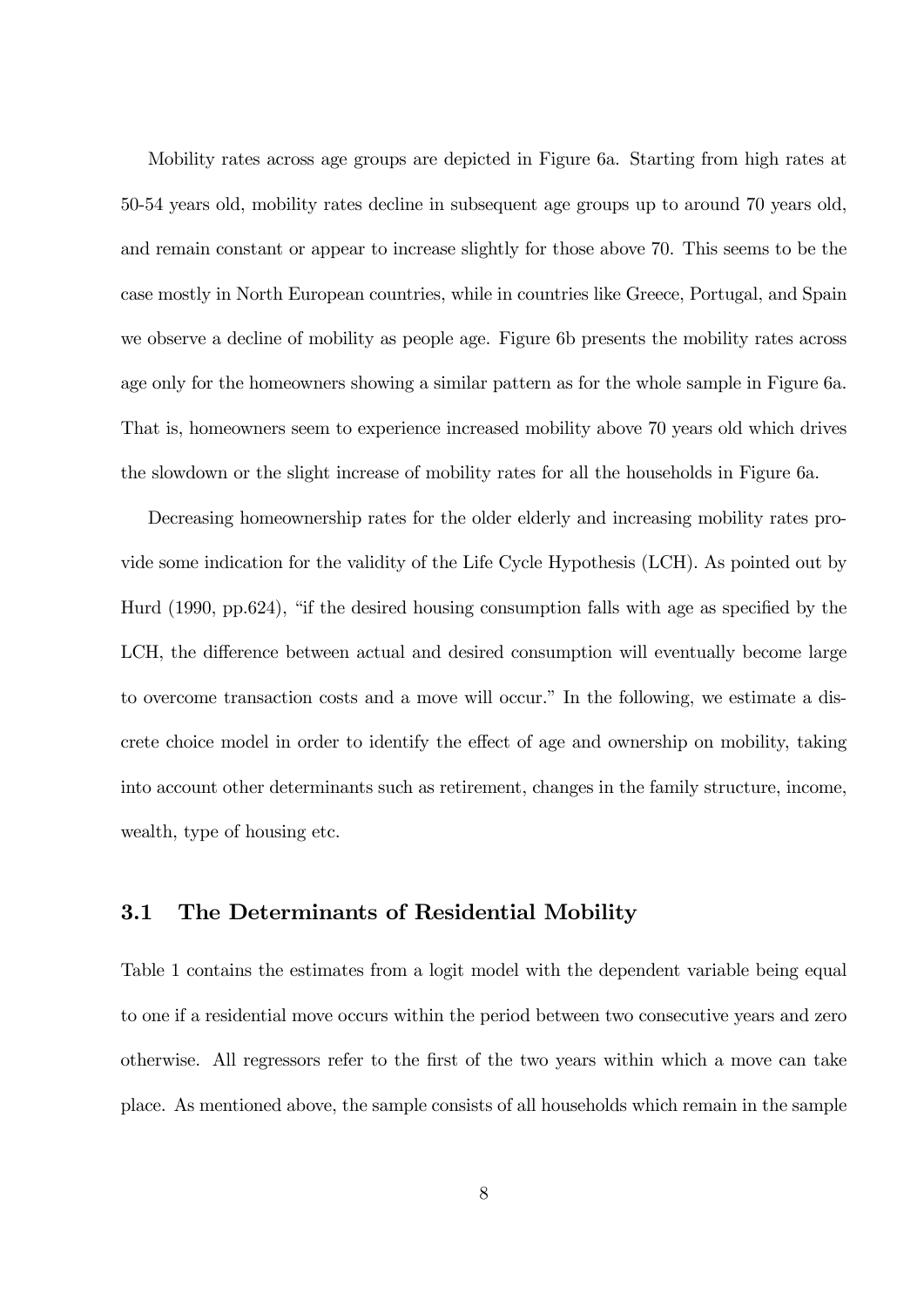Mobility rates across age groups are depicted in Figure 6a. Starting from high rates at 50-54 years old, mobility rates decline in subsequent age groups up to around 70 years old, and remain constant or appear to increase slightly for those above 70. This seems to be the case mostly in North European countries, while in countries like Greece, Portugal, and Spain we observe a decline of mobility as people age. Figure 6b presents the mobility rates across age only for the homeowners showing a similar pattern as for the whole sample in Figure 6a. That is, homeowners seem to experience increased mobility above 70 years old which drives the slowdown or the slight increase of mobility rates for all the households in Figure 6a.

Decreasing homeownership rates for the older elderly and increasing mobility rates provide some indication for the validity of the Life Cycle Hypothesis (LCH). As pointed out by Hurd  $(1990, pp.624)$ , "if the desired housing consumption falls with age as specified by the LCH, the difference between actual and desired consumption will eventually become large to overcome transaction costs and a move will occur." In the following, we estimate a discrete choice model in order to identify the effect of age and ownership on mobility, taking into account other determinants such as retirement, changes in the family structure, income, wealth, type of housing etc.

### 3.1 The Determinants of Residential Mobility

Table 1 contains the estimates from a logit model with the dependent variable being equal to one if a residential move occurs within the period between two consecutive years and zero otherwise. All regressors refer to the first of the two years within which a move can take place. As mentioned above, the sample consists of all households which remain in the sample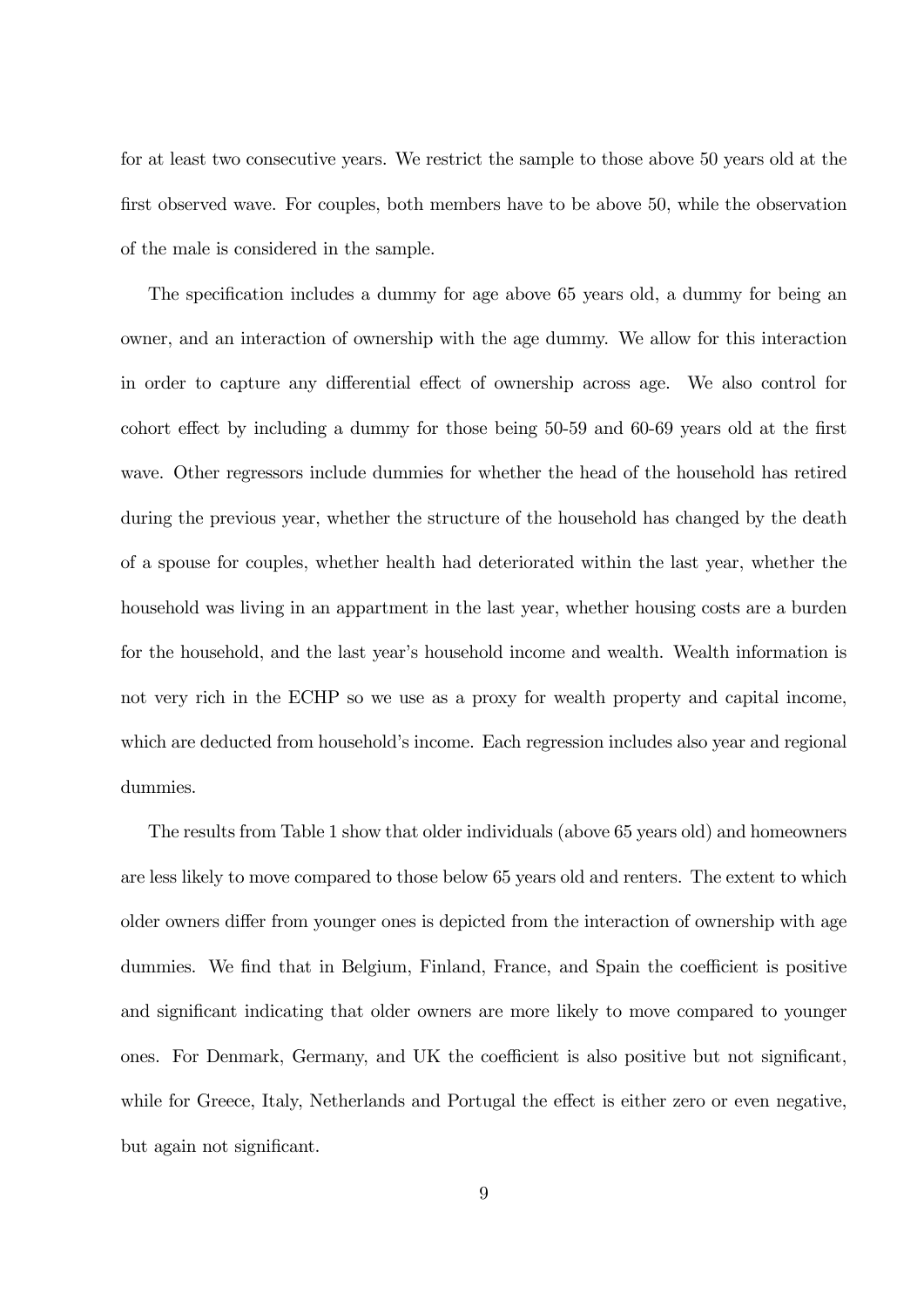for at least two consecutive years. We restrict the sample to those above 50 years old at the first observed wave. For couples, both members have to be above 50, while the observation of the male is considered in the sample.

The specification includes a dummy for age above 65 years old, a dummy for being an owner, and an interaction of ownership with the age dummy. We allow for this interaction in order to capture any differential effect of ownership across age. We also control for cohort effect by including a dummy for those being 50-59 and 60-69 years old at the first wave. Other regressors include dummies for whether the head of the household has retired during the previous year, whether the structure of the household has changed by the death of a spouse for couples, whether health had deteriorated within the last year, whether the household was living in an appartment in the last year, whether housing costs are a burden for the household, and the last year's household income and wealth. Wealth information is not very rich in the ECHP so we use as a proxy for wealth property and capital income, which are deducted from household's income. Each regression includes also year and regional dummies.

The results from Table 1 show that older individuals (above 65 years old) and homeowners are less likely to move compared to those below 65 years old and renters. The extent to which older owners differ from younger ones is depicted from the interaction of ownership with age dummies. We find that in Belgium, Finland, France, and Spain the coefficient is positive and significant indicating that older owners are more likely to move compared to younger ones. For Denmark, Germany, and UK the coefficient is also positive but not significant, while for Greece, Italy, Netherlands and Portugal the effect is either zero or even negative, but again not significant.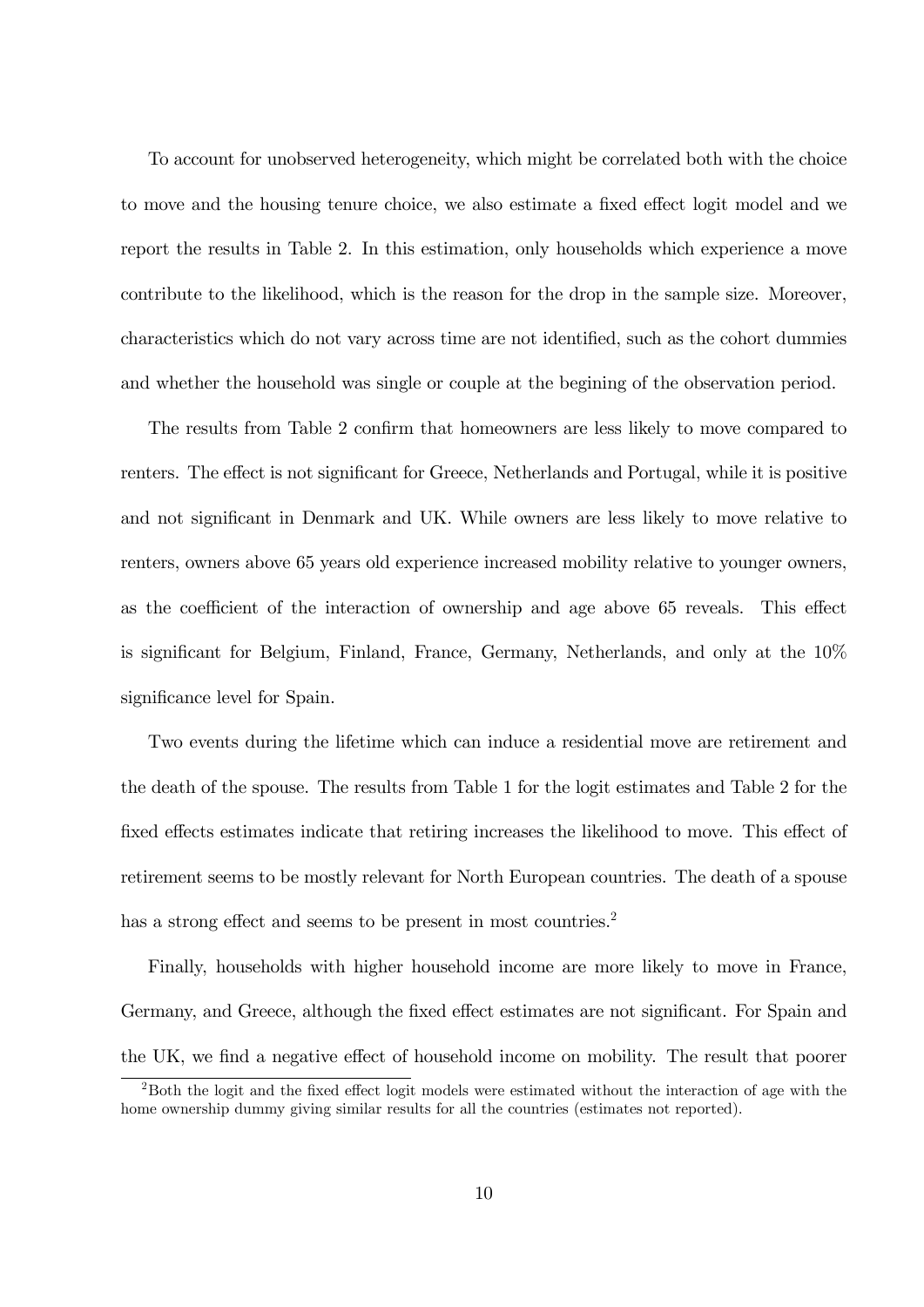To account for unobserved heterogeneity, which might be correlated both with the choice to move and the housing tenure choice, we also estimate a fixed effect logit model and we report the results in Table 2. In this estimation, only households which experience a move contribute to the likelihood, which is the reason for the drop in the sample size. Moreover, characteristics which do not vary across time are not identified, such as the cohort dummies and whether the household was single or couple at the begining of the observation period.

The results from Table 2 confirm that homeowners are less likely to move compared to renters. The effect is not significant for Greece, Netherlands and Portugal, while it is positive and not significant in Denmark and UK. While owners are less likely to move relative to renters, owners above 65 years old experience increased mobility relative to younger owners, as the coefficient of the interaction of ownership and age above 65 reveals. This effect is significant for Belgium, Finland, France, Germany, Netherlands, and only at the  $10\%$ significance level for Spain.

Two events during the lifetime which can induce a residential move are retirement and the death of the spouse. The results from Table 1 for the logit estimates and Table 2 for the fixed effects estimates indicate that retiring increases the likelihood to move. This effect of retirement seems to be mostly relevant for North European countries. The death of a spouse has a strong effect and seems to be present in most countries.<sup>2</sup>

Finally, households with higher household income are more likely to move in France, Germany, and Greece, although the fixed effect estimates are not significant. For Spain and the UK, we find a negative effect of household income on mobility. The result that poorer

 $2$ Both the logit and the fixed effect logit models were estimated without the interaction of age with the home ownership dummy giving similar results for all the countries (estimates not reported).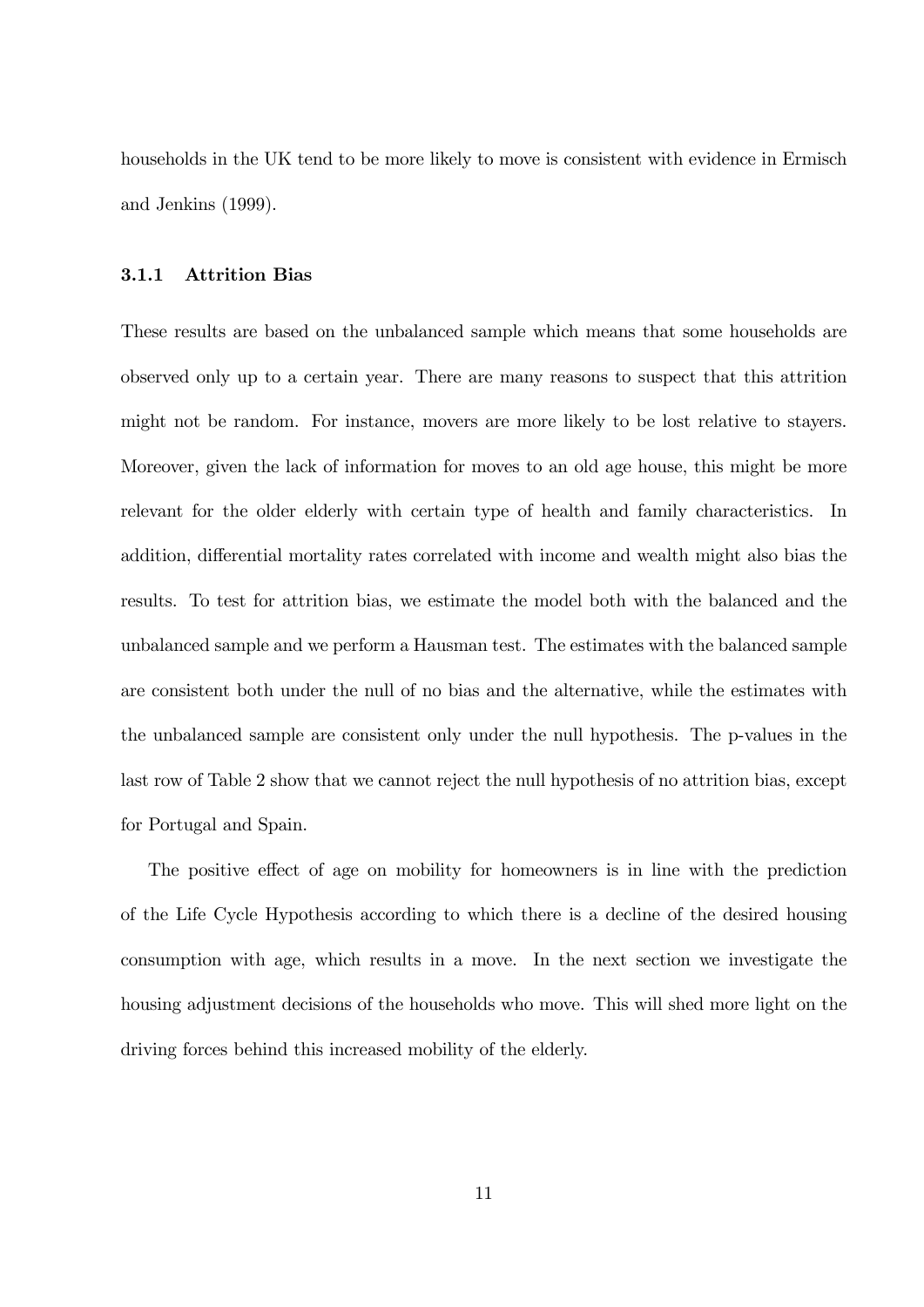households in the UK tend to be more likely to move is consistent with evidence in Ermisch and Jenkins (1999).

#### 3.1.1 Attrition Bias

These results are based on the unbalanced sample which means that some households are observed only up to a certain year. There are many reasons to suspect that this attrition might not be random. For instance, movers are more likely to be lost relative to stayers. Moreover, given the lack of information for moves to an old age house, this might be more relevant for the older elderly with certain type of health and family characteristics. In addition, differential mortality rates correlated with income and wealth might also bias the results. To test for attrition bias, we estimate the model both with the balanced and the unbalanced sample and we perform a Hausman test. The estimates with the balanced sample are consistent both under the null of no bias and the alternative, while the estimates with the unbalanced sample are consistent only under the null hypothesis. The p-values in the last row of Table 2 show that we cannot reject the null hypothesis of no attrition bias, except for Portugal and Spain.

The positive effect of age on mobility for homeowners is in line with the prediction of the Life Cycle Hypothesis according to which there is a decline of the desired housing consumption with age, which results in a move. In the next section we investigate the housing adjustment decisions of the households who move. This will shed more light on the driving forces behind this increased mobility of the elderly.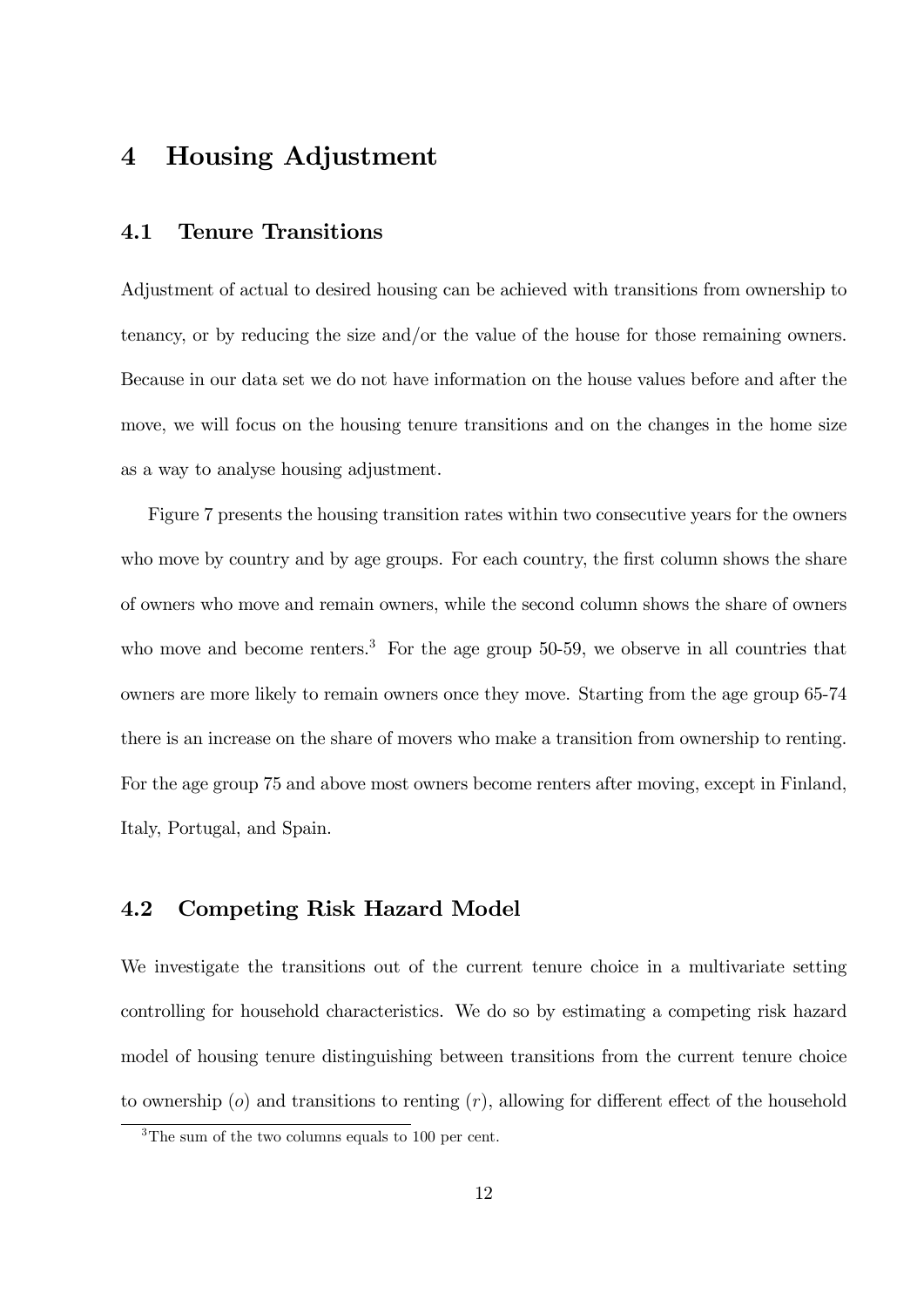# 4 Housing Adjustment

### 4.1 Tenure Transitions

Adjustment of actual to desired housing can be achieved with transitions from ownership to tenancy, or by reducing the size and/or the value of the house for those remaining owners. Because in our data set we do not have information on the house values before and after the move, we will focus on the housing tenure transitions and on the changes in the home size as a way to analyse housing adjustment.

Figure 7 presents the housing transition rates within two consecutive years for the owners who move by country and by age groups. For each country, the first column shows the share of owners who move and remain owners, while the second column shows the share of owners who move and become renters.<sup>3</sup> For the age group  $50-59$ , we observe in all countries that owners are more likely to remain owners once they move. Starting from the age group 65-74 there is an increase on the share of movers who make a transition from ownership to renting. For the age group 75 and above most owners become renters after moving, except in Finland, Italy, Portugal, and Spain.

### 4.2 Competing Risk Hazard Model

We investigate the transitions out of the current tenure choice in a multivariate setting controlling for household characteristics. We do so by estimating a competing risk hazard model of housing tenure distinguishing between transitions from the current tenure choice to ownership ( $o$ ) and transitions to renting  $(r)$ , allowing for different effect of the household

<sup>&</sup>lt;sup>3</sup>The sum of the two columns equals to 100 per cent.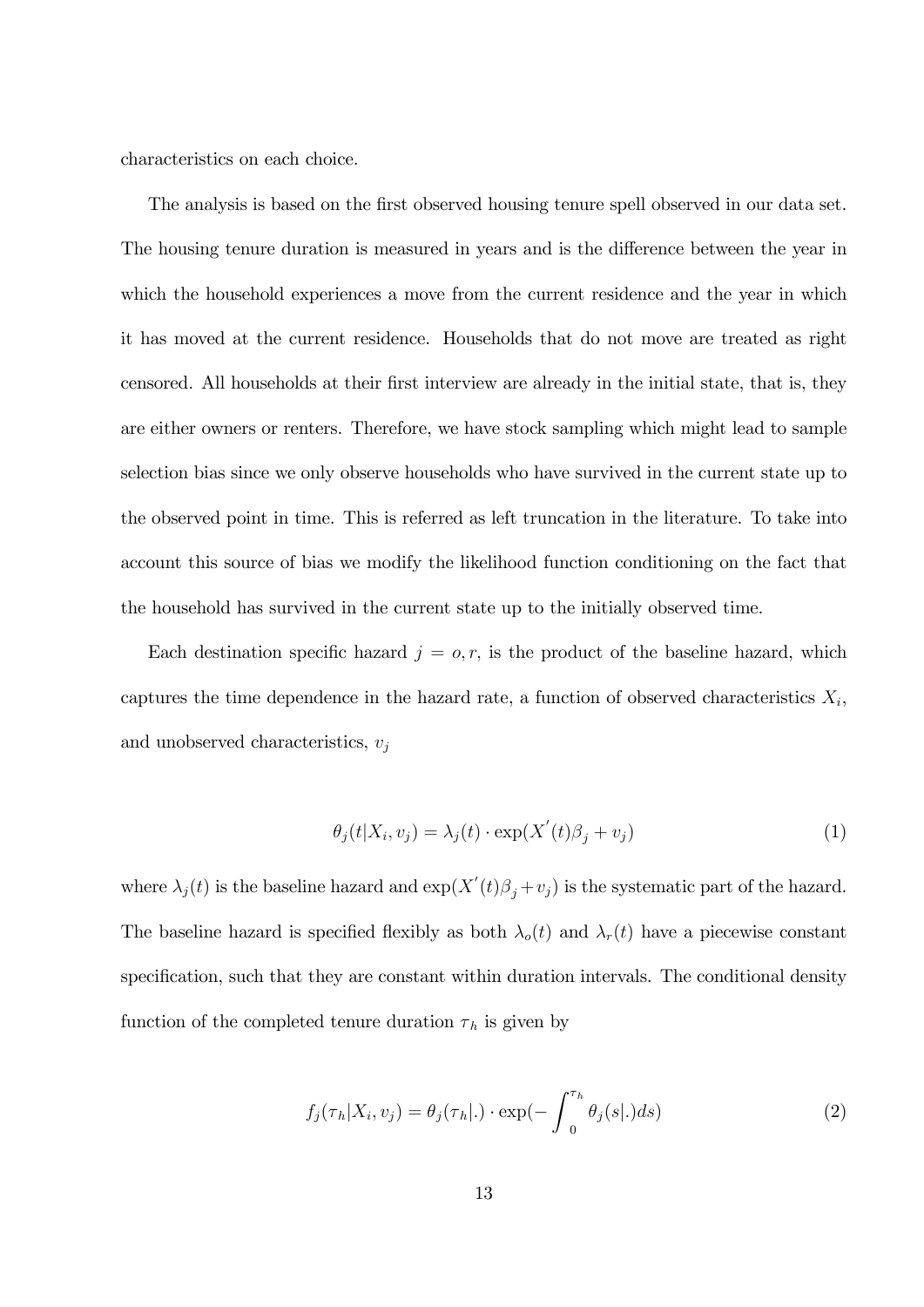characteristics on each choice.

The analysis is based on the first observed housing tenure spell observed in our data set. The housing tenure duration is measured in years and is the difference between the year in which the household experiences a move from the current residence and the year in which it has moved at the current residence. Households that do not move are treated as right censored. All households at their first interview are already in the initial state, that is, they are either owners or renters. Therefore, we have stock sampling which might lead to sample selection bias since we only observe households who have survived in the current state up to the observed point in time. This is referred as left truncation in the literature. To take into account this source of bias we modify the likelihood function conditioning on the fact that the household has survived in the current state up to the initially observed time.

Each destination specific hazard  $j = o, r$ , is the product of the baseline hazard, which captures the time dependence in the hazard rate, a function of observed characteristics  $X_i$ , and unobserved characteristics,  $v_i$ 

$$
\theta_j(t|X_i, v_j) = \lambda_j(t) \cdot \exp(X'(t)\beta_j + v_j)
$$
\n(1)

where  $\lambda_j(t)$  is the baseline hazard and  $\exp(X'(t)\beta_j + v_j)$  is the systematic part of the hazard. The baseline hazard is specified flexibly as both  $\lambda_o(t)$  and  $\lambda_r(t)$  have a piecewise constant specification, such that they are constant within duration intervals. The conditional density function of the completed tenure duration  $\tau_h$  is given by

$$
f_j(\tau_h|X_i, v_j) = \theta_j(\tau_h|\cdot) \cdot \exp(-\int_0^{\tau_h} \theta_j(s|\cdot) ds)
$$
\n(2)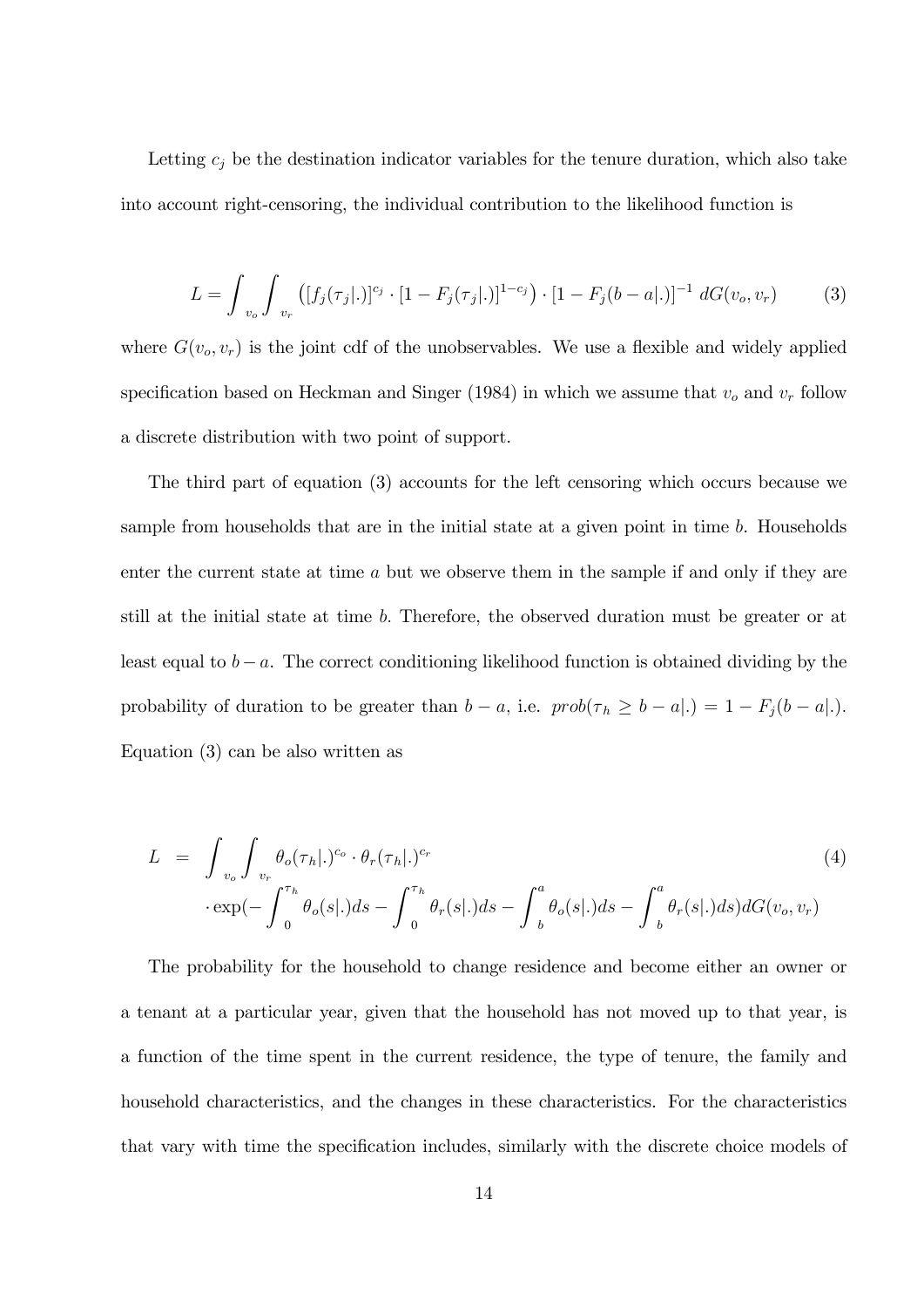Letting  $c_j$  be the destination indicator variables for the tenure duration, which also take into account right-censoring, the individual contribution to the likelihood function is

$$
L = \int_{v_o} \int_{v_r} ([f_j(\tau_j | .)]^{c_j} \cdot [1 - F_j(\tau_j | .)]^{1 - c_j}) \cdot [1 - F_j(b - a | .)]^{-1} dG(v_o, v_r)
$$
(3)

where  $G(v_o, v_r)$  is the joint cdf of the unobservables. We use a flexible and widely applied specification based on Heckman and Singer (1984) in which we assume that  $v<sub>o</sub>$  and  $v<sub>r</sub>$  follow a discrete distribution with two point of support.

The third part of equation (3) accounts for the left censoring which occurs because we sample from households that are in the initial state at a given point in time  $b$ . Households enter the current state at time a but we observe them in the sample if and only if they are still at the initial state at time b: Therefore, the observed duration must be greater or at least equal to  $b - a$ . The correct conditioning likelihood function is obtained dividing by the probability of duration to be greater than  $b - a$ , i.e.  $prob(\tau_h \ge b - a|.) = 1 - F_j(b - a|.)$ . Equation (3) can be also written as

$$
L = \int_{v_o} \int_{v_r} \theta_o(\tau_h |.)^{c_o} \cdot \theta_r(\tau_h |.)^{c_r}
$$
  
\n
$$
\cdot \exp(-\int_0^{\tau_h} \theta_o(s |.) ds - \int_0^{\tau_h} \theta_r(s |.) ds - \int_b^a \theta_o(s |.) ds - \int_b^a \theta_r(s |.) ds)dG(v_o, v_r)
$$
\n(4)

The probability for the household to change residence and become either an owner or a tenant at a particular year, given that the household has not moved up to that year, is a function of the time spent in the current residence, the type of tenure, the family and household characteristics, and the changes in these characteristics. For the characteristics that vary with time the specification includes, similarly with the discrete choice models of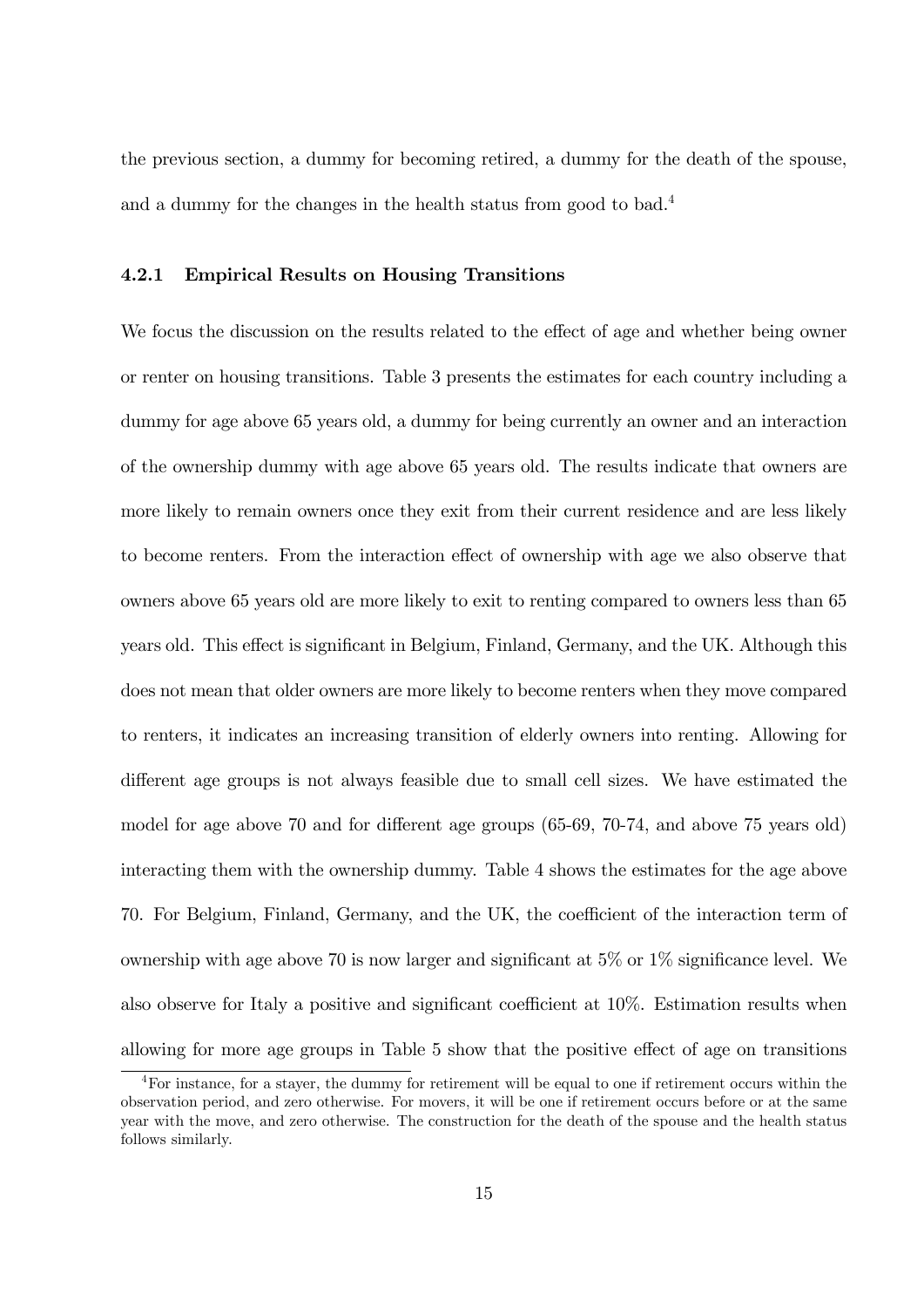the previous section, a dummy for becoming retired, a dummy for the death of the spouse, and a dummy for the changes in the health status from good to bad.<sup>4</sup>

#### 4.2.1 Empirical Results on Housing Transitions

We focus the discussion on the results related to the effect of age and whether being owner or renter on housing transitions. Table 3 presents the estimates for each country including a dummy for age above 65 years old, a dummy for being currently an owner and an interaction of the ownership dummy with age above 65 years old. The results indicate that owners are more likely to remain owners once they exit from their current residence and are less likely to become renters. From the interaction effect of ownership with age we also observe that owners above 65 years old are more likely to exit to renting compared to owners less than 65 years old. This effect is significant in Belgium, Finland, Germany, and the UK. Although this does not mean that older owners are more likely to become renters when they move compared to renters, it indicates an increasing transition of elderly owners into renting. Allowing for different age groups is not always feasible due to small cell sizes. We have estimated the model for age above 70 and for different age groups  $(65-69, 70-74, 0.50)$  and above 75 years old) interacting them with the ownership dummy. Table 4 shows the estimates for the age above 70. For Belgium, Finland, Germany, and the UK, the coefficient of the interaction term of ownership with age above 70 is now larger and significant at  $5\%$  or  $1\%$  significance level. We also observe for Italy a positive and significant coefficient at  $10\%$ . Estimation results when allowing for more age groups in Table 5 show that the positive effect of age on transitions

<sup>4</sup>For instance, for a stayer, the dummy for retirement will be equal to one if retirement occurs within the observation period, and zero otherwise. For movers, it will be one if retirement occurs before or at the same year with the move, and zero otherwise. The construction for the death of the spouse and the health status follows similarly.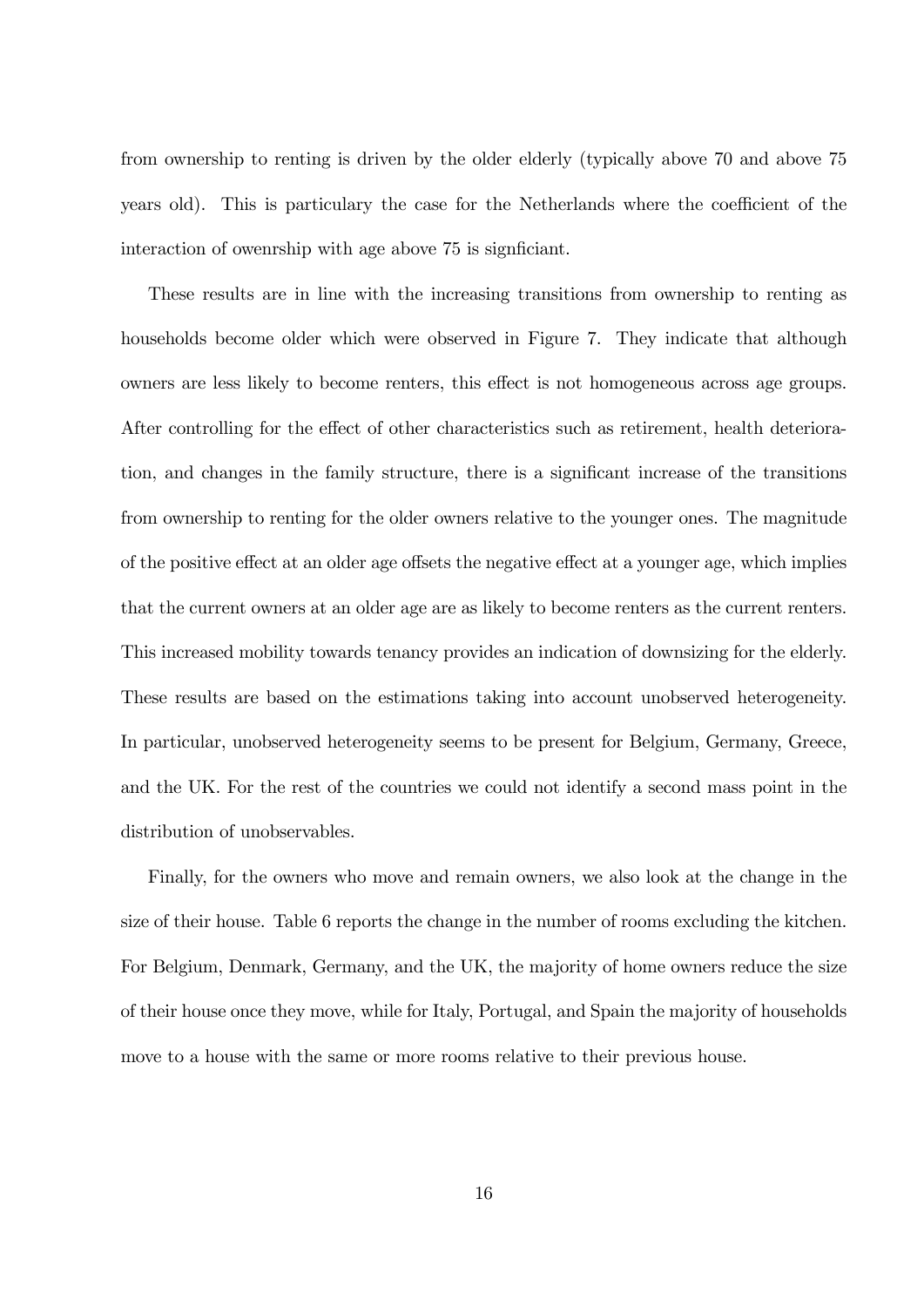from ownership to renting is driven by the older elderly (typically above 70 and above 75 years old). This is particulary the case for the Netherlands where the coefficient of the interaction of owenrship with age above 75 is significiant.

These results are in line with the increasing transitions from ownership to renting as households become older which were observed in Figure 7. They indicate that although owners are less likely to become renters, this effect is not homogeneous across age groups. After controlling for the effect of other characteristics such as retirement, health deterioration, and changes in the family structure, there is a significant increase of the transitions from ownership to renting for the older owners relative to the younger ones. The magnitude of the positive effect at an older age offsets the negative effect at a younger age, which implies that the current owners at an older age are as likely to become renters as the current renters. This increased mobility towards tenancy provides an indication of downsizing for the elderly. These results are based on the estimations taking into account unobserved heterogeneity. In particular, unobserved heterogeneity seems to be present for Belgium, Germany, Greece, and the UK. For the rest of the countries we could not identify a second mass point in the distribution of unobservables.

Finally, for the owners who move and remain owners, we also look at the change in the size of their house. Table 6 reports the change in the number of rooms excluding the kitchen. For Belgium, Denmark, Germany, and the UK, the majority of home owners reduce the size of their house once they move, while for Italy, Portugal, and Spain the majority of households move to a house with the same or more rooms relative to their previous house.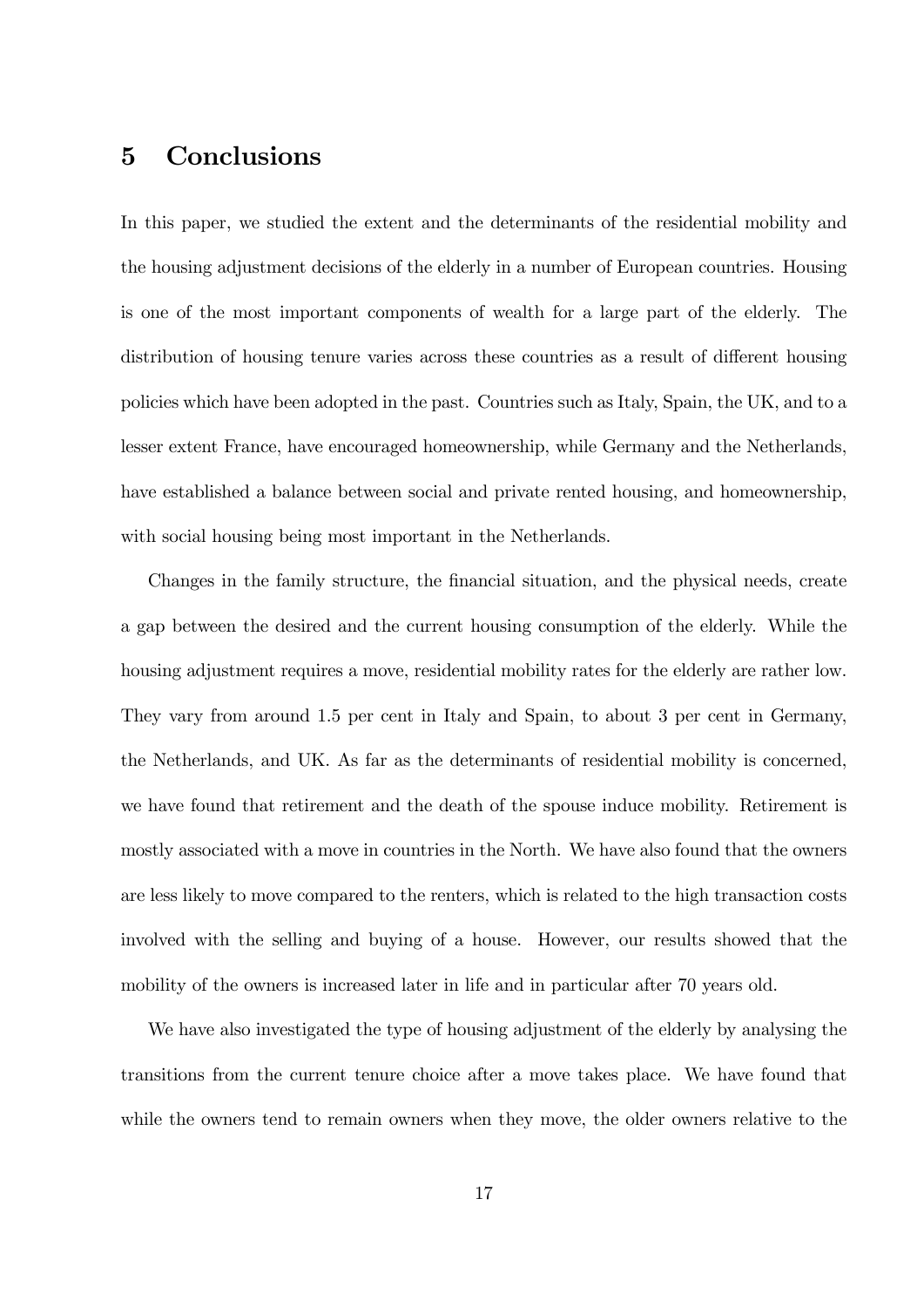# 5 Conclusions

In this paper, we studied the extent and the determinants of the residential mobility and the housing adjustment decisions of the elderly in a number of European countries. Housing is one of the most important components of wealth for a large part of the elderly. The distribution of housing tenure varies across these countries as a result of different housing policies which have been adopted in the past. Countries such as Italy, Spain, the UK, and to a lesser extent France, have encouraged homeownership, while Germany and the Netherlands, have established a balance between social and private rented housing, and homeownership, with social housing being most important in the Netherlands.

Changes in the family structure, the financial situation, and the physical needs, create a gap between the desired and the current housing consumption of the elderly. While the housing adjustment requires a move, residential mobility rates for the elderly are rather low. They vary from around 1.5 per cent in Italy and Spain, to about 3 per cent in Germany, the Netherlands, and UK. As far as the determinants of residential mobility is concerned, we have found that retirement and the death of the spouse induce mobility. Retirement is mostly associated with a move in countries in the North. We have also found that the owners are less likely to move compared to the renters, which is related to the high transaction costs involved with the selling and buying of a house. However, our results showed that the mobility of the owners is increased later in life and in particular after 70 years old.

We have also investigated the type of housing adjustment of the elderly by analysing the transitions from the current tenure choice after a move takes place. We have found that while the owners tend to remain owners when they move, the older owners relative to the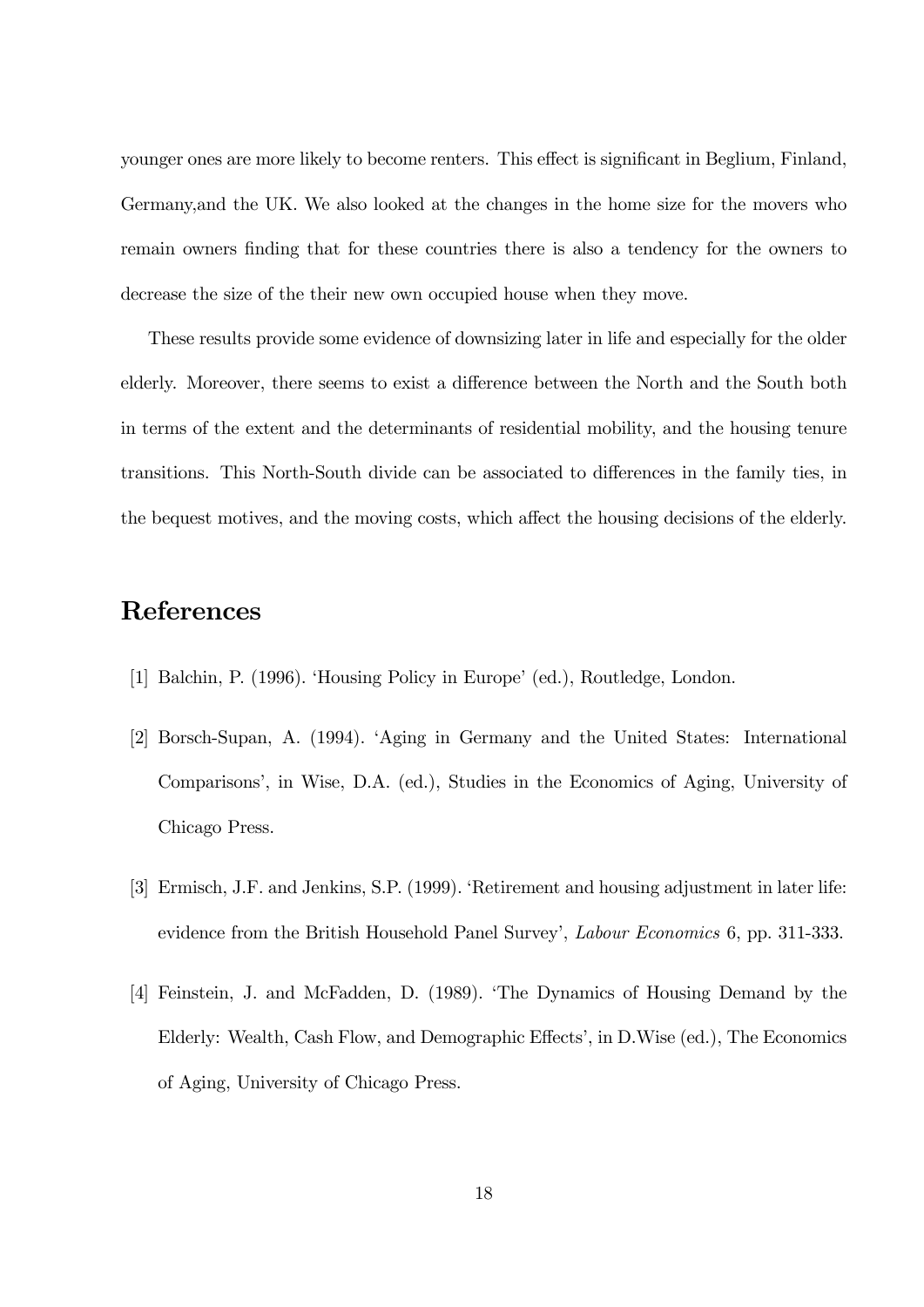younger ones are more likely to become renters. This effect is significant in Beglium, Finland, Germany,and the UK. We also looked at the changes in the home size for the movers who remain owners finding that for these countries there is also a tendency for the owners to decrease the size of the their new own occupied house when they move.

These results provide some evidence of downsizing later in life and especially for the older elderly. Moreover, there seems to exist a difference between the North and the South both in terms of the extent and the determinants of residential mobility, and the housing tenure transitions. This North-South divide can be associated to differences in the family ties, in the bequest motives, and the moving costs, which affect the housing decisions of the elderly.

# References

- [1] Balchin, P. (1996). 'Housing Policy in Europe' (ed.), Routledge, London.
- [2] Borsch-Supan, A. (1994). ëAging in Germany and the United States: International Comparisons', in Wise, D.A. (ed.), Studies in the Economics of Aging, University of Chicago Press.
- [3] Ermisch, J.F. and Jenkins, S.P. (1999). 'Retirement and housing adjustment in later life: evidence from the British Household Panel Survey', Labour Economics 6, pp. 311-333.
- [4] Feinstein, J. and McFadden, D. (1989). ëThe Dynamics of Housing Demand by the Elderly: Wealth, Cash Flow, and Demographic Effects', in D.Wise (ed.), The Economics of Aging, University of Chicago Press.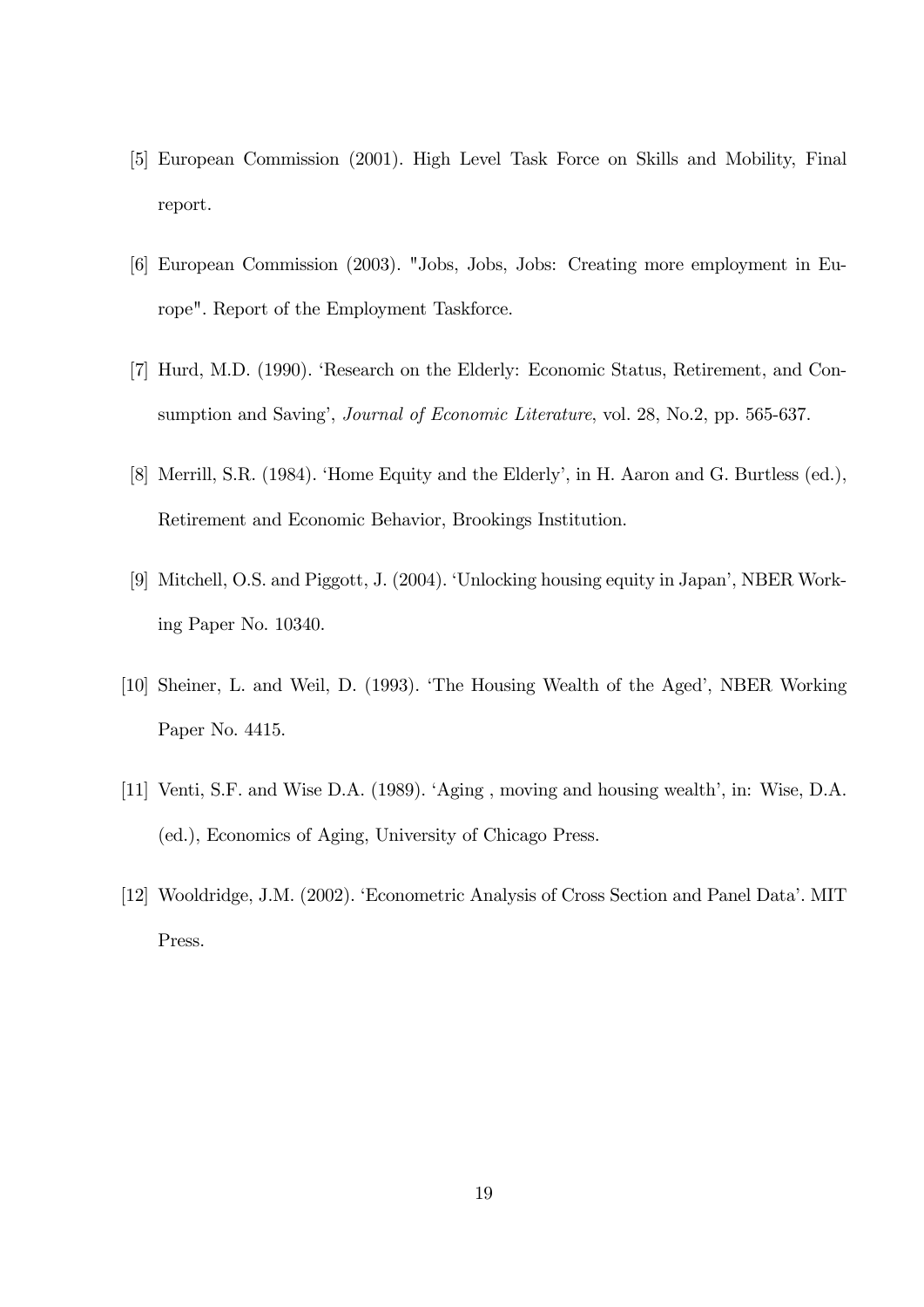- [5] European Commission (2001). High Level Task Force on Skills and Mobility, Final report.
- [6] European Commission (2003). "Jobs, Jobs, Jobs: Creating more employment in Europe". Report of the Employment Taskforce.
- [7] Hurd, M.D. (1990). ëResearch on the Elderly: Economic Status, Retirement, and Consumption and Saving', *Journal of Economic Literature*, vol. 28, No.2, pp. 565-637.
- [8] Merrill, S.R. (1984). 'Home Equity and the Elderly', in H. Aaron and G. Burtless (ed.), Retirement and Economic Behavior, Brookings Institution.
- [9] Mitchell, O.S. and Piggott, J. (2004). 'Unlocking housing equity in Japan', NBER Working Paper No. 10340.
- [10] Sheiner, L. and Weil, D. (1993). 'The Housing Wealth of the Aged', NBER Working Paper No. 4415.
- [11] Venti, S.F. and Wise D.A. (1989). 'Aging, moving and housing wealth', in: Wise, D.A. (ed.), Economics of Aging, University of Chicago Press.
- [12] Wooldridge, J.M. (2002). ëEconometric Analysis of Cross Section and Panel Dataí. MIT Press.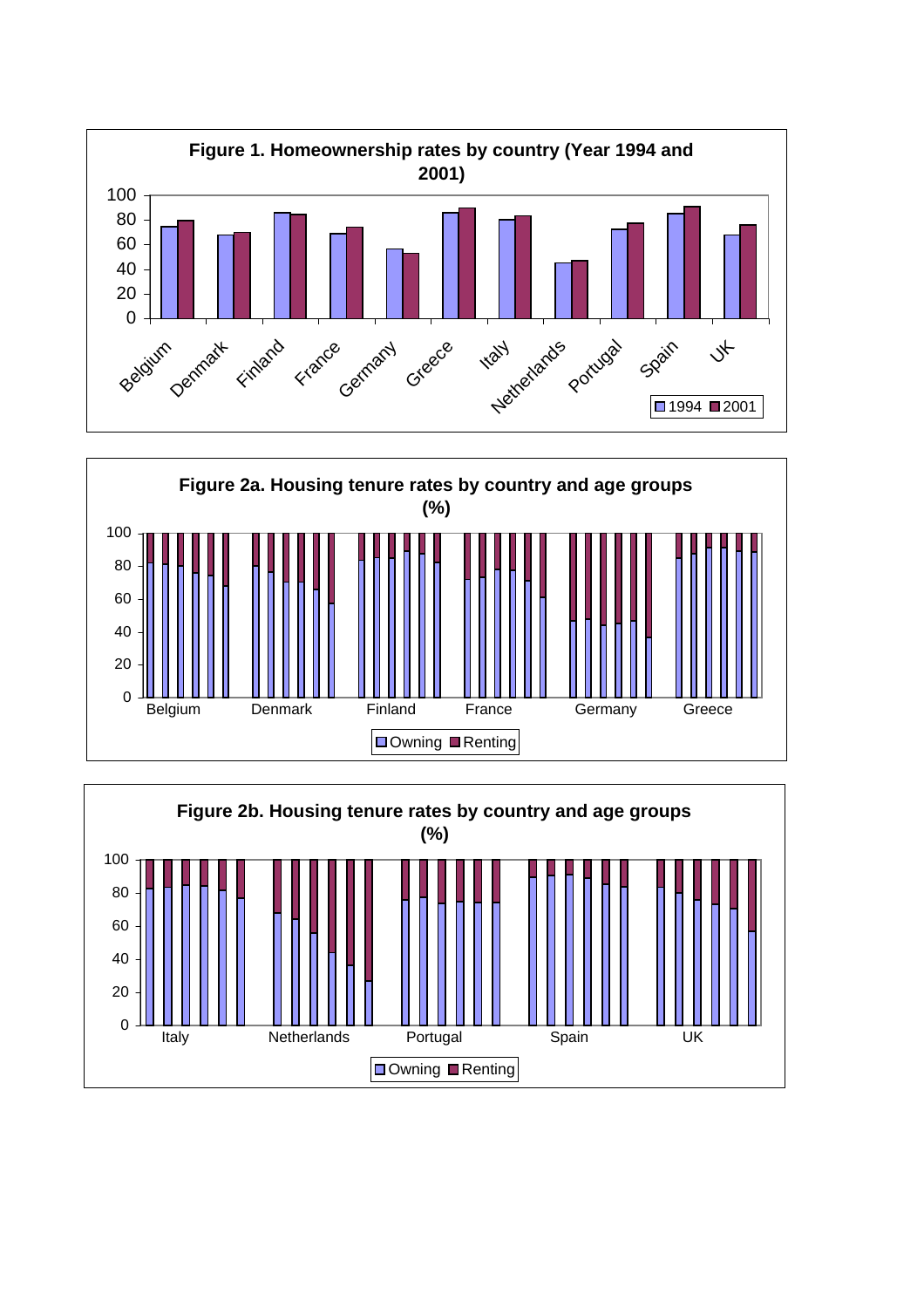



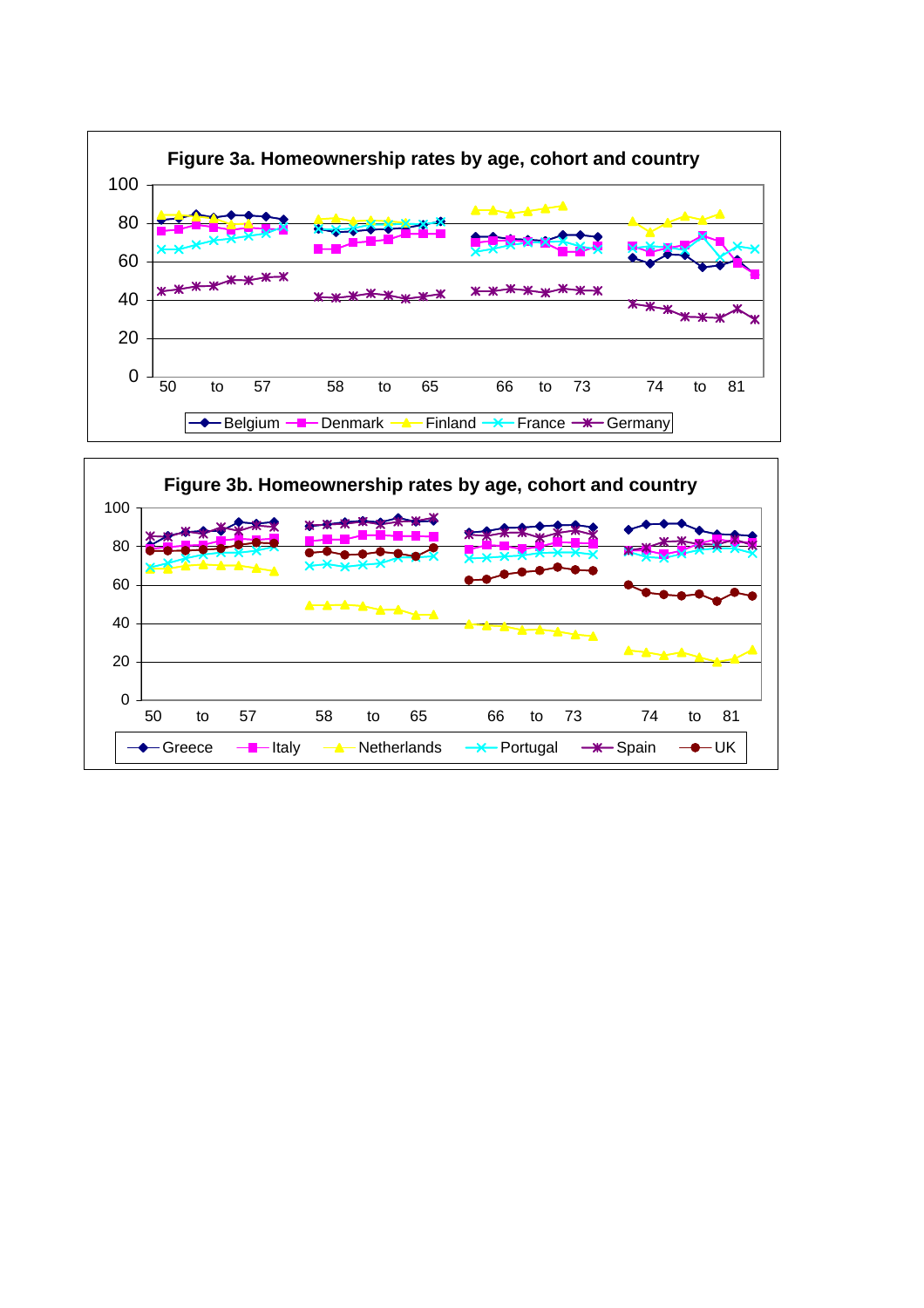

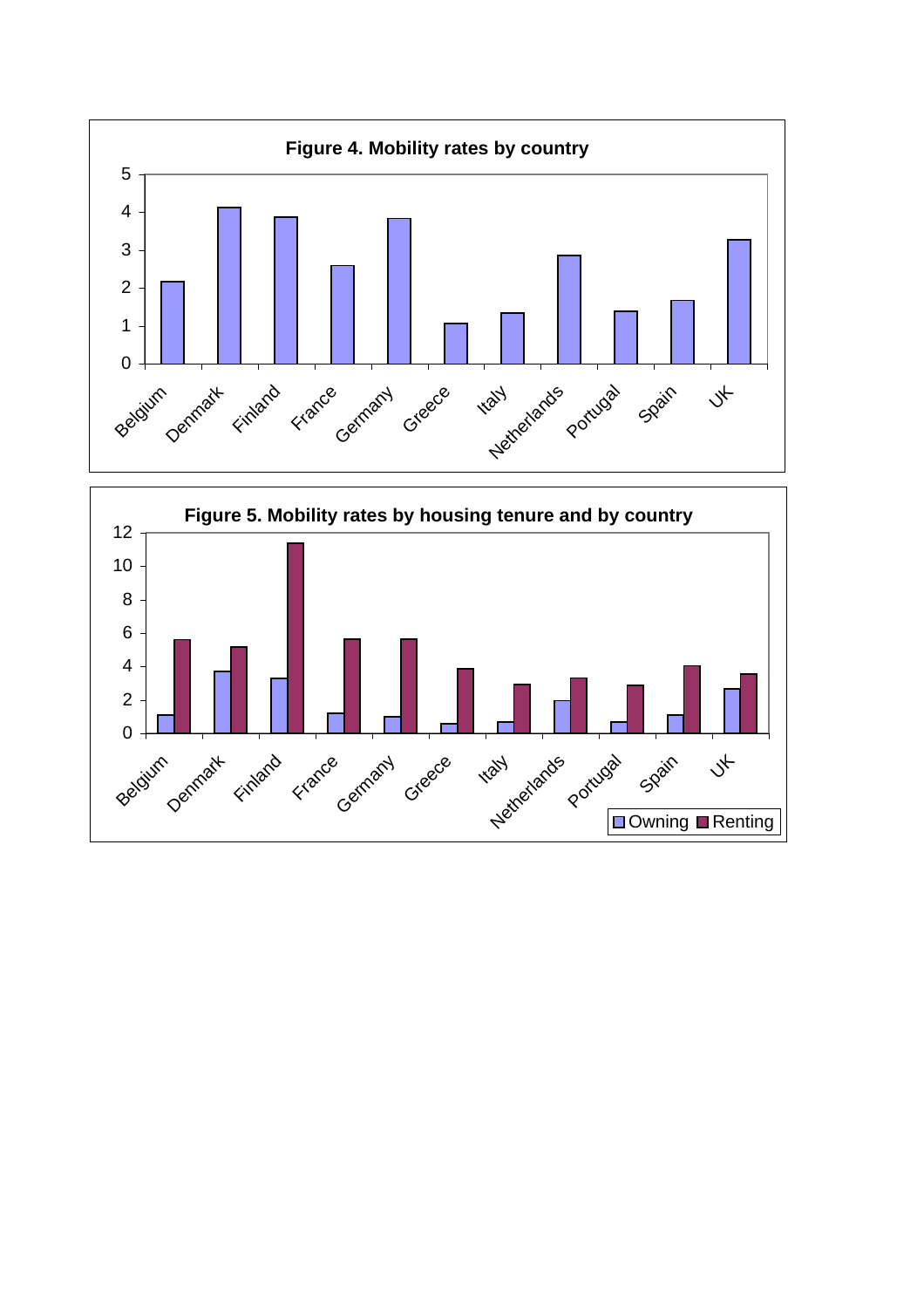

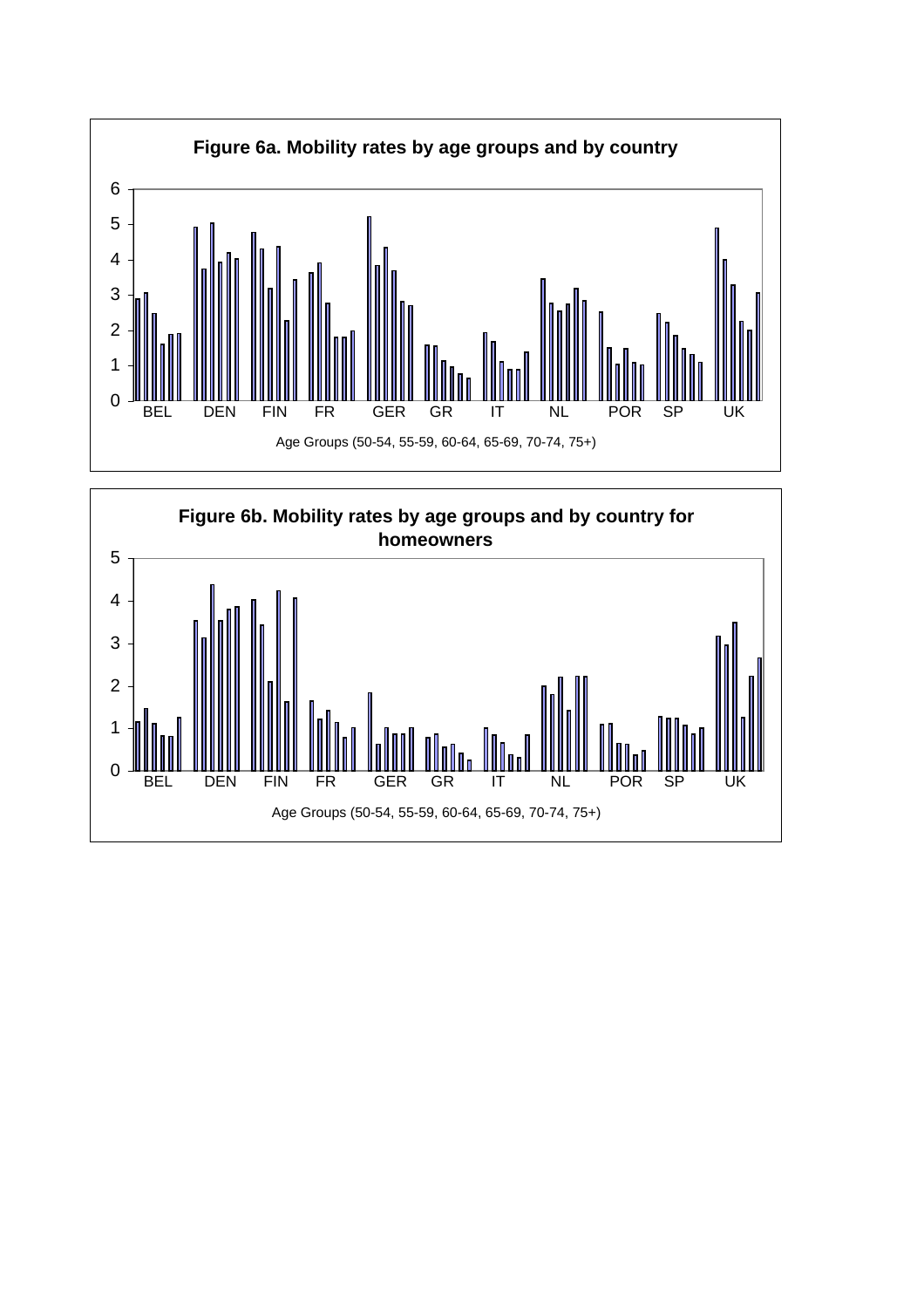

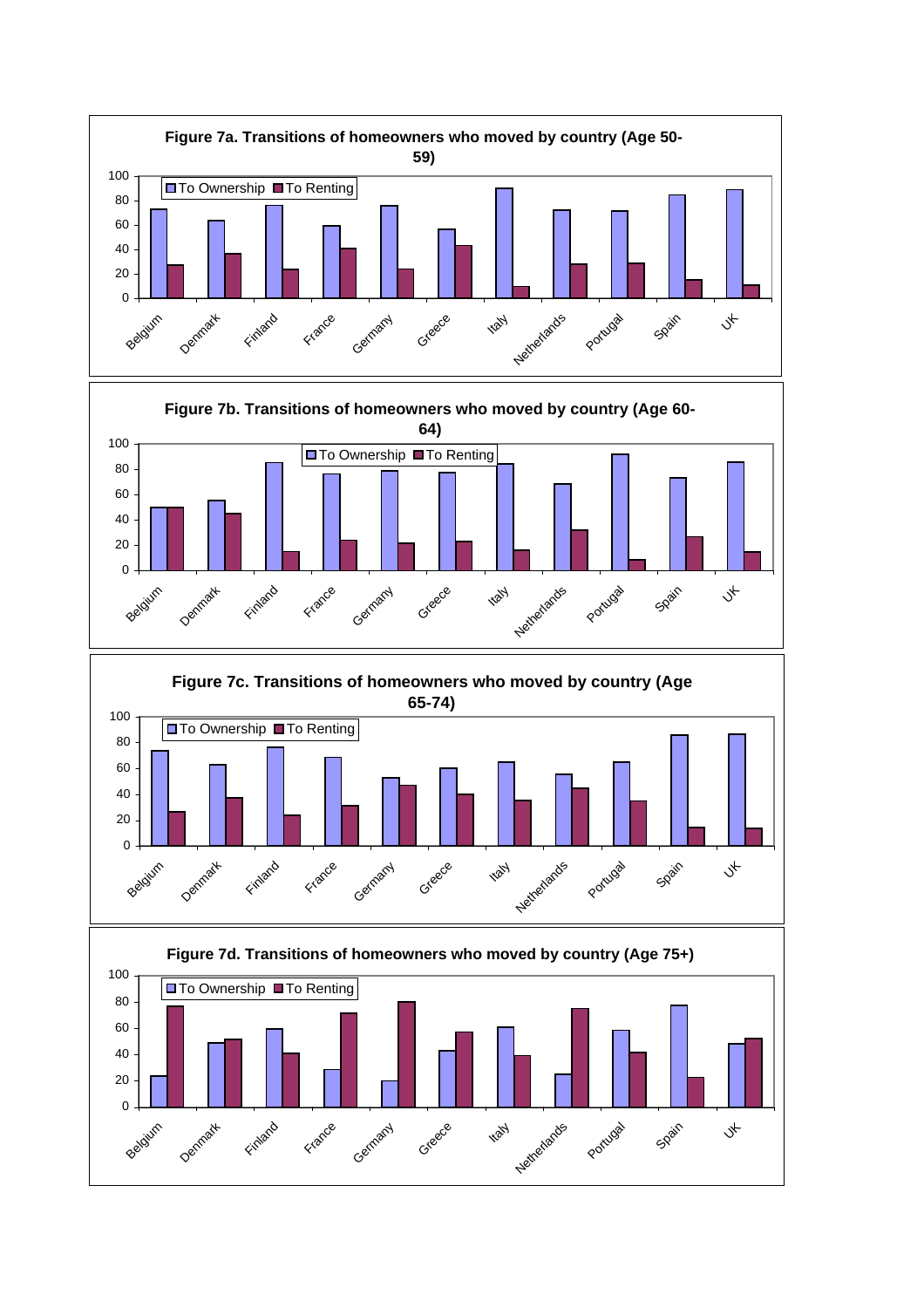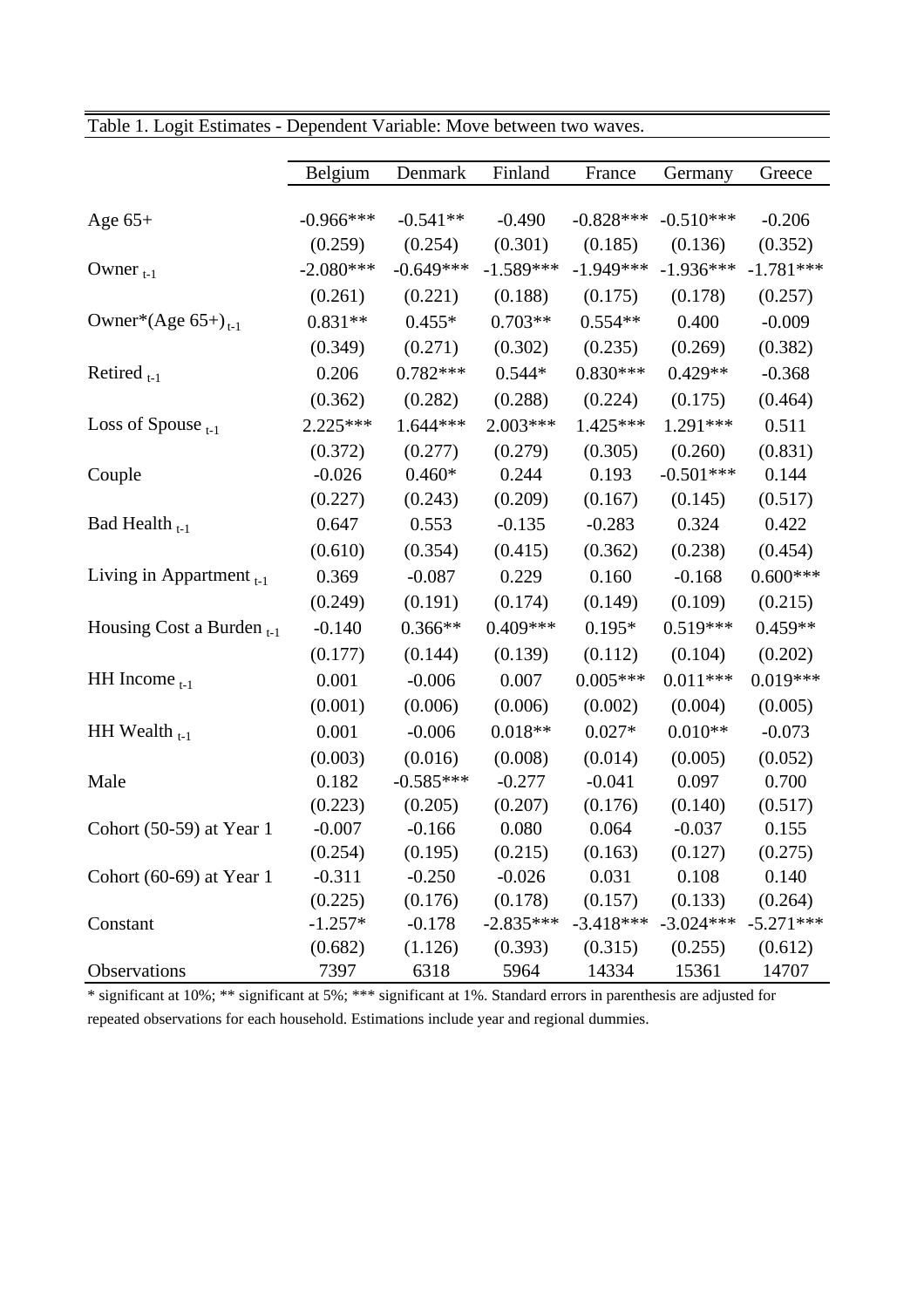|                                | Belgium     | Denmark     | Finland     | France      | Germany     | Greece      |
|--------------------------------|-------------|-------------|-------------|-------------|-------------|-------------|
|                                |             |             |             |             |             |             |
| Age $65+$                      | $-0.966***$ | $-0.541**$  | $-0.490$    | $-0.828***$ | $-0.510***$ | $-0.206$    |
|                                | (0.259)     | (0.254)     | (0.301)     | (0.185)     | (0.136)     | (0.352)     |
| Owner $_{t-1}$                 | $-2.080***$ | $-0.649***$ | $-1.589***$ | $-1.949***$ | $-1.936***$ | $-1.781***$ |
|                                | (0.261)     | (0.221)     | (0.188)     | (0.175)     | (0.178)     | (0.257)     |
| Owner*(Age $65+)_{t-1}$        | $0.831**$   | $0.455*$    | $0.703**$   | $0.554**$   | 0.400       | $-0.009$    |
|                                | (0.349)     | (0.271)     | (0.302)     | (0.235)     | (0.269)     | (0.382)     |
| Retired $_{t-1}$               | 0.206       | $0.782***$  | $0.544*$    | $0.830***$  | $0.429**$   | $-0.368$    |
|                                | (0.362)     | (0.282)     | (0.288)     | (0.224)     | (0.175)     | (0.464)     |
| Loss of Spouse $_{t-1}$        | 2.225***    | $1.644***$  | $2.003***$  | 1.425***    | 1.291***    | 0.511       |
|                                | (0.372)     | (0.277)     | (0.279)     | (0.305)     | (0.260)     | (0.831)     |
| Couple                         | $-0.026$    | $0.460*$    | 0.244       | 0.193       | $-0.501***$ | 0.144       |
|                                | (0.227)     | (0.243)     | (0.209)     | (0.167)     | (0.145)     | (0.517)     |
| Bad Health $_{t-1}$            | 0.647       | 0.553       | $-0.135$    | $-0.283$    | 0.324       | 0.422       |
|                                | (0.610)     | (0.354)     | (0.415)     | (0.362)     | (0.238)     | (0.454)     |
| Living in Appartment $_{t-1}$  | 0.369       | $-0.087$    | 0.229       | 0.160       | $-0.168$    | $0.600***$  |
|                                | (0.249)     | (0.191)     | (0.174)     | (0.149)     | (0.109)     | (0.215)     |
| Housing Cost a Burden $_{t-1}$ | $-0.140$    | $0.366**$   | $0.409***$  | $0.195*$    | $0.519***$  | $0.459**$   |
|                                | (0.177)     | (0.144)     | (0.139)     | (0.112)     | (0.104)     | (0.202)     |
| $HH$ Income $_{t-1}$           | 0.001       | $-0.006$    | 0.007       | $0.005***$  | $0.011***$  | $0.019***$  |
|                                | (0.001)     | (0.006)     | (0.006)     | (0.002)     | (0.004)     | (0.005)     |
| HH Wealth $_{t-1}$             | 0.001       | $-0.006$    | $0.018**$   | $0.027*$    | $0.010**$   | $-0.073$    |
|                                | (0.003)     | (0.016)     | (0.008)     | (0.014)     | (0.005)     | (0.052)     |
| Male                           | 0.182       | $-0.585***$ | $-0.277$    | $-0.041$    | 0.097       | 0.700       |
|                                | (0.223)     | (0.205)     | (0.207)     | (0.176)     | (0.140)     | (0.517)     |
| Cohort $(50-59)$ at Year 1     | $-0.007$    | $-0.166$    | 0.080       | 0.064       | $-0.037$    | 0.155       |
|                                | (0.254)     | (0.195)     | (0.215)     | (0.163)     | (0.127)     | (0.275)     |
| Cohort $(60-69)$ at Year 1     | $-0.311$    | $-0.250$    | $-0.026$    | 0.031       | 0.108       | 0.140       |
|                                | (0.225)     | (0.176)     | (0.178)     | (0.157)     | (0.133)     | (0.264)     |
| Constant                       | $-1.257*$   | $-0.178$    | $-2.835***$ | $-3.418***$ | $-3.024***$ | $-5.271***$ |
|                                | (0.682)     | (1.126)     | (0.393)     | (0.315)     | (0.255)     | (0.612)     |
| Observations                   | 7397        | 6318        | 5964        | 14334       | 15361       | 14707       |

Table 1. Logit Estimates - Dependent Variable: Move between two waves.

\* significant at 10%; \*\* significant at 5%; \*\*\* significant at 1%. Standard errors in parenthesis are adjusted for repeated observations for each household. Estimations include year and regional dummies.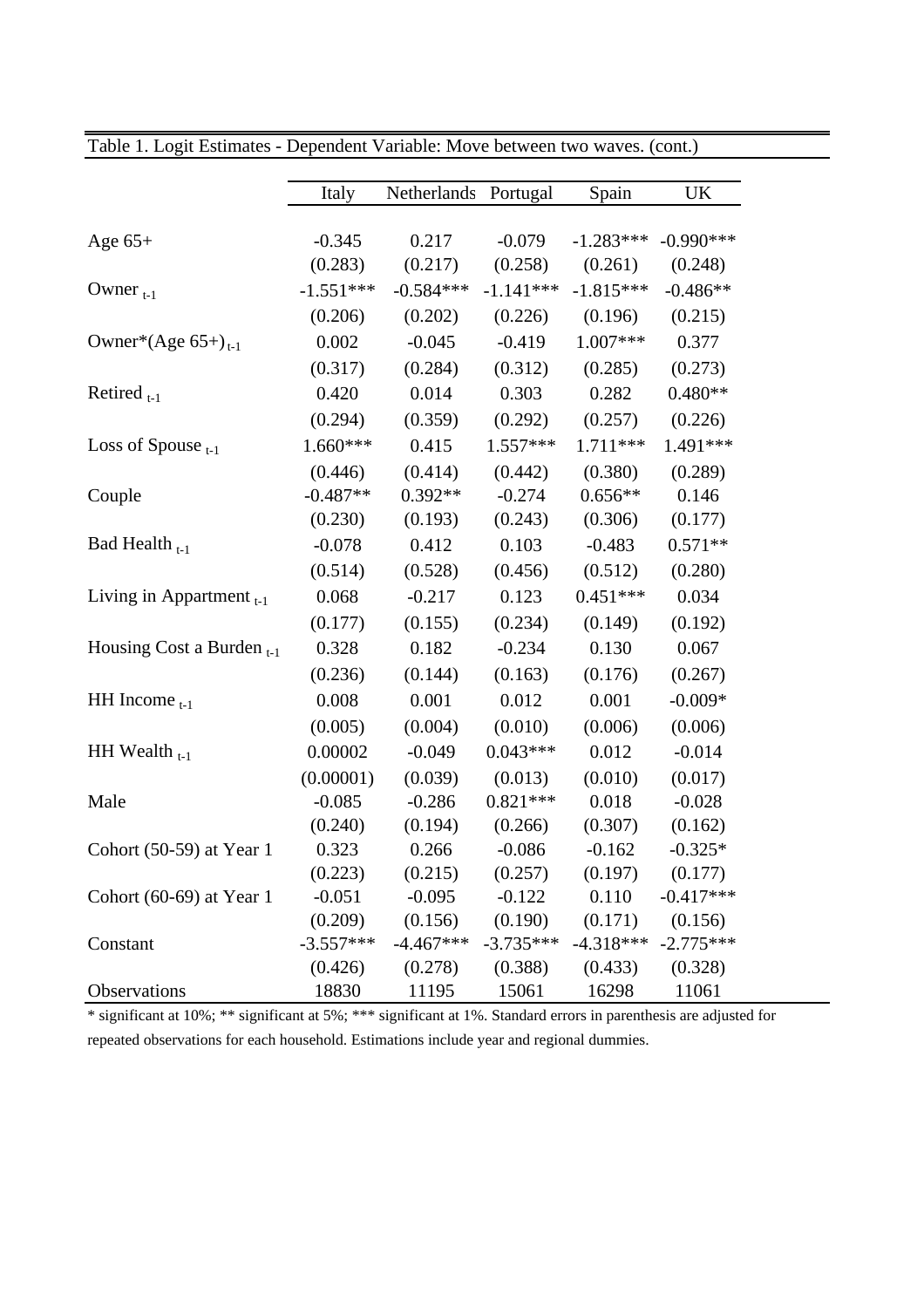|                                   | Italy                  | Netherlands Portugal   |                        | Spain                  | UK                    |
|-----------------------------------|------------------------|------------------------|------------------------|------------------------|-----------------------|
|                                   |                        |                        |                        |                        |                       |
| Age $65+$                         | $-0.345$               | 0.217                  | $-0.079$               | $-1.283***$<br>(0.261) | $-0.990***$           |
| Owner $_{t-1}$                    | (0.283)<br>$-1.551***$ | (0.217)<br>$-0.584***$ | (0.258)<br>$-1.141***$ | $-1.815***$            | (0.248)<br>$-0.486**$ |
|                                   |                        |                        |                        |                        |                       |
|                                   | (0.206)                | (0.202)                | (0.226)                | (0.196)                | (0.215)               |
| Owner*(Age $65+$ ) <sub>t-1</sub> | 0.002                  | $-0.045$               | $-0.419$               | $1.007***$             | 0.377                 |
|                                   | (0.317)                | (0.284)                | (0.312)                | (0.285)                | (0.273)               |
| Retired $_{t-1}$                  | 0.420                  | 0.014                  | 0.303                  | 0.282                  | $0.480**$             |
|                                   | (0.294)                | (0.359)                | (0.292)                | (0.257)                | (0.226)               |
| Loss of Spouse $_{t-1}$           | 1.660***               | 0.415                  | $1.557***$             | 1.711 ***              | 1.491***              |
|                                   | (0.446)                | (0.414)                | (0.442)                | (0.380)                | (0.289)               |
| Couple                            | $-0.487**$             | $0.392**$              | $-0.274$               | $0.656**$              | 0.146                 |
|                                   | (0.230)                | (0.193)                | (0.243)                | (0.306)                | (0.177)               |
| Bad Health $_{t-1}$               | $-0.078$               | 0.412                  | 0.103                  | $-0.483$               | $0.571**$             |
|                                   | (0.514)                | (0.528)                | (0.456)                | (0.512)                | (0.280)               |
| Living in Appartment $_{t-1}$     | 0.068                  | $-0.217$               | 0.123                  | $0.451***$             | 0.034                 |
|                                   | (0.177)                | (0.155)                | (0.234)                | (0.149)                | (0.192)               |
| Housing Cost a Burden $_{t-1}$    | 0.328                  | 0.182                  | $-0.234$               | 0.130                  | 0.067                 |
|                                   | (0.236)                | (0.144)                | (0.163)                | (0.176)                | (0.267)               |
| HH Income $_{t-1}$                | 0.008                  | 0.001                  | 0.012                  | 0.001                  | $-0.009*$             |
|                                   | (0.005)                | (0.004)                | (0.010)                | (0.006)                | (0.006)               |
| HH Wealth $_{t-1}$                | 0.00002                | $-0.049$               | $0.043***$             | 0.012                  | $-0.014$              |
|                                   | (0.00001)              | (0.039)                | (0.013)                | (0.010)                | (0.017)               |
| Male                              | $-0.085$               | $-0.286$               | $0.821***$             | 0.018                  | $-0.028$              |
|                                   | (0.240)                | (0.194)                | (0.266)                | (0.307)                | (0.162)               |
| Cohort $(50-59)$ at Year 1        | 0.323                  | 0.266                  | $-0.086$               | $-0.162$               | $-0.325*$             |
|                                   | (0.223)                | (0.215)                | (0.257)                | (0.197)                | (0.177)               |
| Cohort $(60-69)$ at Year 1        | $-0.051$               | $-0.095$               | $-0.122$               | 0.110                  | $-0.417***$           |
|                                   | (0.209)                | (0.156)                | (0.190)                | (0.171)                | (0.156)               |
| Constant                          | $-3.557***$            | $-4.467***$            | $-3.735***$            | $-4.318***$            | $-2.775***$           |
|                                   | (0.426)                | (0.278)                | (0.388)                | (0.433)                | (0.328)               |
| Observations                      | 18830                  | 11195                  | 15061                  | 16298                  | 11061                 |

Table 1. Logit Estimates - Dependent Variable: Move between two waves. (cont.)

\* significant at 10%; \*\* significant at 5%; \*\*\* significant at 1%. Standard errors in parenthesis are adjusted for repeated observations for each household. Estimations include year and regional dummies.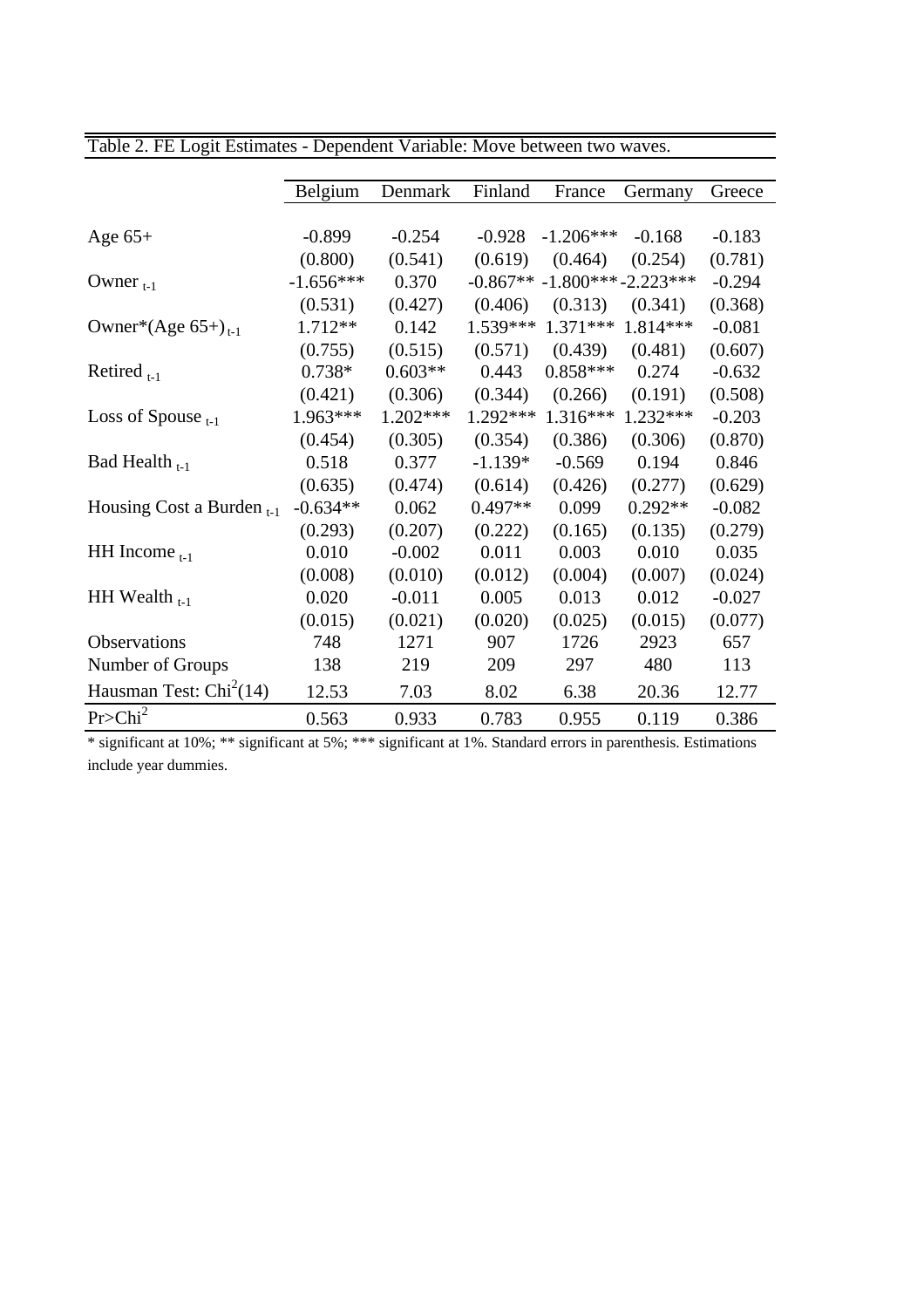|                                   | Belgium     | Denmark   | Finland    | France               | Germany   | Greece   |
|-----------------------------------|-------------|-----------|------------|----------------------|-----------|----------|
|                                   |             |           |            |                      |           |          |
| Age $65+$                         | $-0.899$    | $-0.254$  | $-0.928$   | $-1.206***$          | $-0.168$  | $-0.183$ |
|                                   | (0.800)     | (0.541)   | (0.619)    | (0.464)              | (0.254)   | (0.781)  |
| Owner $_{t-1}$                    | $-1.656***$ | 0.370     | $-0.867**$ | $-1.800***-2.223***$ |           | $-0.294$ |
|                                   | (0.531)     | (0.427)   | (0.406)    | (0.313)              | (0.341)   | (0.368)  |
| Owner*(Age $65+$ ) <sub>t-1</sub> | $1.712**$   | 0.142     | 1.539***   | $1.371***$           | 1.814 *** | $-0.081$ |
|                                   | (0.755)     | (0.515)   | (0.571)    | (0.439)              | (0.481)   | (0.607)  |
| Retired $_{t-1}$                  | $0.738*$    | $0.603**$ | 0.443      | $0.858***$           | 0.274     | $-0.632$ |
|                                   | (0.421)     | (0.306)   | (0.344)    | (0.266)              | (0.191)   | (0.508)  |
| Loss of Spouse $_{t-1}$           | 1.963***    | 1.202***  | 1.292***   | $1.316***$           | 1.232***  | $-0.203$ |
|                                   | (0.454)     | (0.305)   | (0.354)    | (0.386)              | (0.306)   | (0.870)  |
| Bad Health $_{t-1}$               | 0.518       | 0.377     | $-1.139*$  | $-0.569$             | 0.194     | 0.846    |
|                                   | (0.635)     | (0.474)   | (0.614)    | (0.426)              | (0.277)   | (0.629)  |
| Housing Cost a Burden $_{t-1}$    | $-0.634**$  | 0.062     | $0.497**$  | 0.099                | $0.292**$ | $-0.082$ |
|                                   | (0.293)     | (0.207)   | (0.222)    | (0.165)              | (0.135)   | (0.279)  |
| HH Income $_{t-1}$                | 0.010       | $-0.002$  | 0.011      | 0.003                | 0.010     | 0.035    |
|                                   | (0.008)     | (0.010)   | (0.012)    | (0.004)              | (0.007)   | (0.024)  |
| HH Wealth $_{t-1}$                | 0.020       | $-0.011$  | 0.005      | 0.013                | 0.012     | $-0.027$ |
|                                   | (0.015)     | (0.021)   | (0.020)    | (0.025)              | (0.015)   | (0.077)  |
| Observations                      | 748         | 1271      | 907        | 1726                 | 2923      | 657      |
| Number of Groups                  | 138         | 219       | 209        | 297                  | 480       | 113      |
| Hausman Test: $Chi2(14)$          | 12.53       | 7.03      | 8.02       | 6.38                 | 20.36     | 12.77    |
| Pr > Chi <sup>2</sup>             | 0.563       | 0.933     | 0.783      | 0.955                | 0.119     | 0.386    |

### Table 2. FE Logit Estimates - Dependent Variable: Move between two waves.

\* significant at 10%; \*\* significant at 5%; \*\*\* significant at 1%. Standard errors in parenthesis. Estimations include year dummies.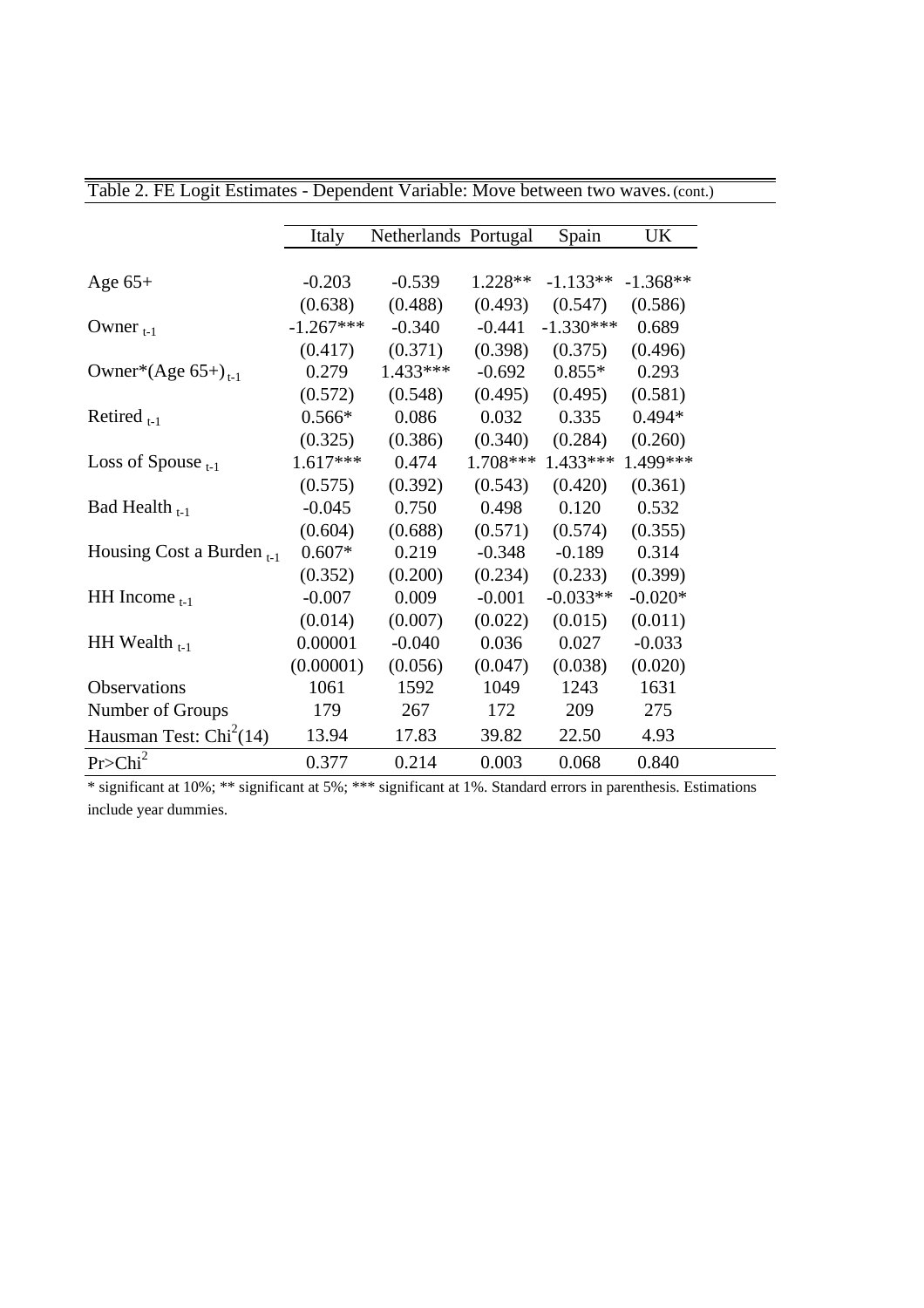|                                | Italy       | Netherlands Portugal |           | Spain       | <b>UK</b>  |
|--------------------------------|-------------|----------------------|-----------|-------------|------------|
|                                |             |                      |           |             |            |
| Age $65+$                      | $-0.203$    | $-0.539$             | $1.228**$ | $-1.133**$  | $-1.368**$ |
|                                | (0.638)     | (0.488)              | (0.493)   | (0.547)     | (0.586)    |
| Owner $_{t-1}$                 | $-1.267***$ | $-0.340$             | $-0.441$  | $-1.330***$ | 0.689      |
|                                | (0.417)     | (0.371)              | (0.398)   | (0.375)     | (0.496)    |
| Owner*(Age $65+)_{t-1}$        | 0.279       | 1.433***             | $-0.692$  | $0.855*$    | 0.293      |
|                                | (0.572)     | (0.548)              | (0.495)   | (0.495)     | (0.581)    |
| Retired $_{t-1}$               | $0.566*$    | 0.086                | 0.032     | 0.335       | $0.494*$   |
|                                | (0.325)     | (0.386)              | (0.340)   | (0.284)     | (0.260)    |
| Loss of Spouse $_{t-1}$        | $1.617***$  | 0.474                | 1.708***  | 1.433***    | 1.499***   |
|                                | (0.575)     | (0.392)              | (0.543)   | (0.420)     | (0.361)    |
| Bad Health $_{t-1}$            | $-0.045$    | 0.750                | 0.498     | 0.120       | 0.532      |
|                                | (0.604)     | (0.688)              | (0.571)   | (0.574)     | (0.355)    |
| Housing Cost a Burden $_{t-1}$ | $0.607*$    | 0.219                | $-0.348$  | $-0.189$    | 0.314      |
|                                | (0.352)     | (0.200)              | (0.234)   | (0.233)     | (0.399)    |
| HH Income $_{t-1}$             | $-0.007$    | 0.009                | $-0.001$  | $-0.033**$  | $-0.020*$  |
|                                | (0.014)     | (0.007)              | (0.022)   | (0.015)     | (0.011)    |
| HH Wealth $_{t-1}$             | 0.00001     | $-0.040$             | 0.036     | 0.027       | $-0.033$   |
|                                | (0.00001)   | (0.056)              | (0.047)   | (0.038)     | (0.020)    |
| <b>Observations</b>            | 1061        | 1592                 | 1049      | 1243        | 1631       |
| Number of Groups               | 179         | 267                  | 172       | 209         | 275        |
| Hausman Test: $Chi2(14)$       | 13.94       | 17.83                | 39.82     | 22.50       | 4.93       |
| Pr > Chi <sup>2</sup>          | 0.377       | 0.214                | 0.003     | 0.068       | 0.840      |

Table 2. FE Logit Estimates - Dependent Variable: Move between two waves. (cont.)

\* significant at 10%; \*\* significant at 5%; \*\*\* significant at 1%. Standard errors in parenthesis. Estimations include year dummies.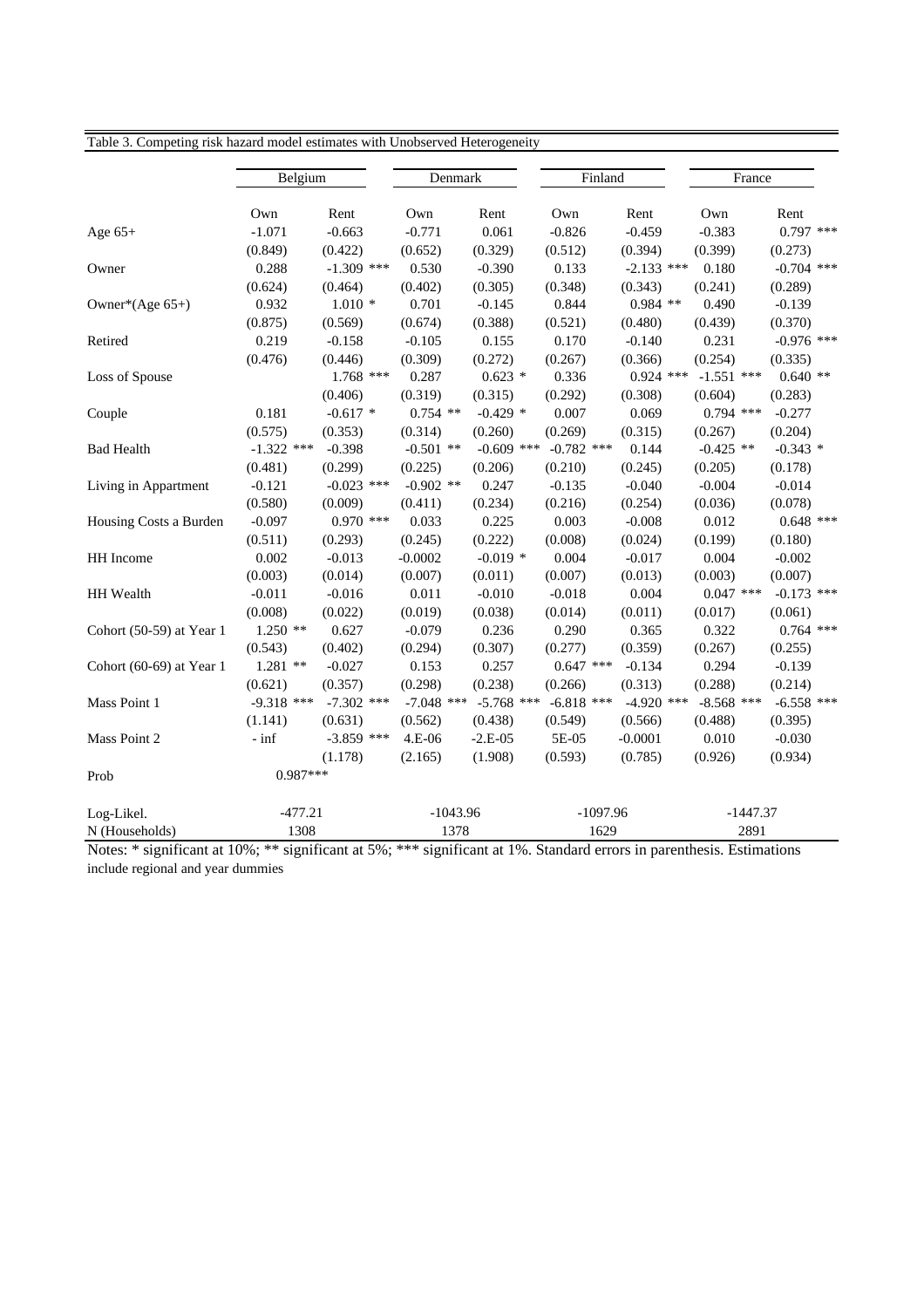| raoic 5. Competing risk nazaru mouer estimates while chooserved ricterogeneity |              |              |              |              |              |              |              |              |
|--------------------------------------------------------------------------------|--------------|--------------|--------------|--------------|--------------|--------------|--------------|--------------|
|                                                                                | Belgium      |              | Denmark      |              | Finland      |              | France       |              |
|                                                                                | Own          | Rent         | Own          | Rent         | Own          | Rent         | Own          | Rent         |
| Age $65+$                                                                      | $-1.071$     | $-0.663$     | $-0.771$     | 0.061        | $-0.826$     | $-0.459$     | $-0.383$     | $0.797$ ***  |
|                                                                                | (0.849)      | (0.422)      | (0.652)      | (0.329)      | (0.512)      | (0.394)      | (0.399)      | (0.273)      |
| Owner                                                                          | 0.288        | $-1.309$ *** | 0.530        | $-0.390$     | 0.133        | $-2.133$ *** | 0.180        | $-0.704$ *** |
|                                                                                | (0.624)      | (0.464)      | (0.402)      | (0.305)      | (0.348)      | (0.343)      | (0.241)      | (0.289)      |
| Owner*(Age $65+$ )                                                             | 0.932        | $1.010*$     | 0.701        | $-0.145$     | 0.844        | $0.984$ **   | 0.490        | $-0.139$     |
|                                                                                | (0.875)      | (0.569)      | (0.674)      | (0.388)      | (0.521)      | (0.480)      | (0.439)      | (0.370)      |
| Retired                                                                        | 0.219        | $-0.158$     | $-0.105$     | 0.155        | 0.170        | $-0.140$     | 0.231        | $-0.976$ *** |
|                                                                                | (0.476)      | (0.446)      | (0.309)      | (0.272)      | (0.267)      | (0.366)      | (0.254)      | (0.335)      |
| Loss of Spouse                                                                 |              | $1.768$ ***  | 0.287        | $0.623*$     | 0.336        | $0.924$ ***  | $-1.551$ *** | $0.640**$    |
|                                                                                |              | (0.406)      | (0.319)      | (0.315)      | (0.292)      | (0.308)      | (0.604)      | (0.283)      |
| Couple                                                                         | 0.181        | $-0.617$ *   | $0.754$ **   | $-0.429$ *   | 0.007        | 0.069        | $0.794$ ***  | $-0.277$     |
|                                                                                | (0.575)      | (0.353)      | (0.314)      | (0.260)      | (0.269)      | (0.315)      | (0.267)      | (0.204)      |
| <b>Bad Health</b>                                                              | $-1.322$ *** | $-0.398$     | $-0.501$ **  | $-0.609$ *** | $-0.782$ *** | 0.144        | $-0.425$ **  | $-0.343$ *   |
|                                                                                | (0.481)      | (0.299)      | (0.225)      | (0.206)      | (0.210)      | (0.245)      | (0.205)      | (0.178)      |
| Living in Appartment                                                           | $-0.121$     | $-0.023$ *** | $-0.902$ **  | 0.247        | $-0.135$     | $-0.040$     | $-0.004$     | $-0.014$     |
|                                                                                | (0.580)      | (0.009)      | (0.411)      | (0.234)      | (0.216)      | (0.254)      | (0.036)      | (0.078)      |
| Housing Costs a Burden                                                         | $-0.097$     | $0.970$ ***  | 0.033        | 0.225        | 0.003        | $-0.008$     | 0.012        | $0.648$ ***  |
|                                                                                | (0.511)      | (0.293)      | (0.245)      | (0.222)      | (0.008)      | (0.024)      | (0.199)      | (0.180)      |
| HH Income                                                                      | 0.002        | $-0.013$     | $-0.0002$    | $-0.019*$    | 0.004        | $-0.017$     | 0.004        | $-0.002$     |
|                                                                                | (0.003)      | (0.014)      | (0.007)      | (0.011)      | (0.007)      | (0.013)      | (0.003)      | (0.007)      |
| HH Wealth                                                                      | $-0.011$     | $-0.016$     | 0.011        | $-0.010$     | $-0.018$     | 0.004        | $0.047$ ***  | $-0.173$ *** |
|                                                                                | (0.008)      | (0.022)      | (0.019)      | (0.038)      | (0.014)      | (0.011)      | (0.017)      | (0.061)      |
| Cohort (50-59) at Year 1                                                       | $1.250$ **   | 0.627        | $-0.079$     | 0.236        | 0.290        | 0.365        | 0.322        | $0.764$ ***  |
|                                                                                | (0.543)      | (0.402)      | (0.294)      | (0.307)      | (0.277)      | (0.359)      | (0.267)      | (0.255)      |
| Cohort (60-69) at Year 1                                                       | $1.281$ **   | $-0.027$     | 0.153        | 0.257        | $0.647$ ***  | $-0.134$     | 0.294        | $-0.139$     |
|                                                                                | (0.621)      | (0.357)      | (0.298)      | (0.238)      | (0.266)      | (0.313)      | (0.288)      | (0.214)      |
| Mass Point 1                                                                   | $-9.318$ *** | $-7.302$ *** | $-7.048$ *** | $-5.768$ *** | $-6.818$ *** | $-4.920$ *** | $-8.568$ *** | $-6.558$ *** |
|                                                                                | (1.141)      | (0.631)      | (0.562)      | (0.438)      | (0.549)      | (0.566)      | (0.488)      | (0.395)      |
| Mass Point 2                                                                   | $-$ inf      | $-3.859$ *** | 4.E-06       | $-2.E-05$    | 5E-05        | $-0.0001$    | 0.010        | $-0.030$     |
|                                                                                |              | (1.178)      | (2.165)      | (1.908)      | (0.593)      | (0.785)      | (0.926)      | (0.934)      |
| Prob                                                                           | $0.987***$   |              |              |              |              |              |              |              |
| Log-Likel.                                                                     | $-477.21$    |              | $-1043.96$   |              | $-1097.96$   |              | $-1447.37$   |              |
| N (Households)                                                                 | 1308         |              | 1378         |              | 1629         |              | 2891         |              |

Table 3. Competing risk hazard model estimates with Unobserved Heterogeneity

Notes: \* significant at 10%; \*\* significant at 5%; \*\*\* significant at 1%. Standard errors in parenthesis. Estimations include regional and year dummies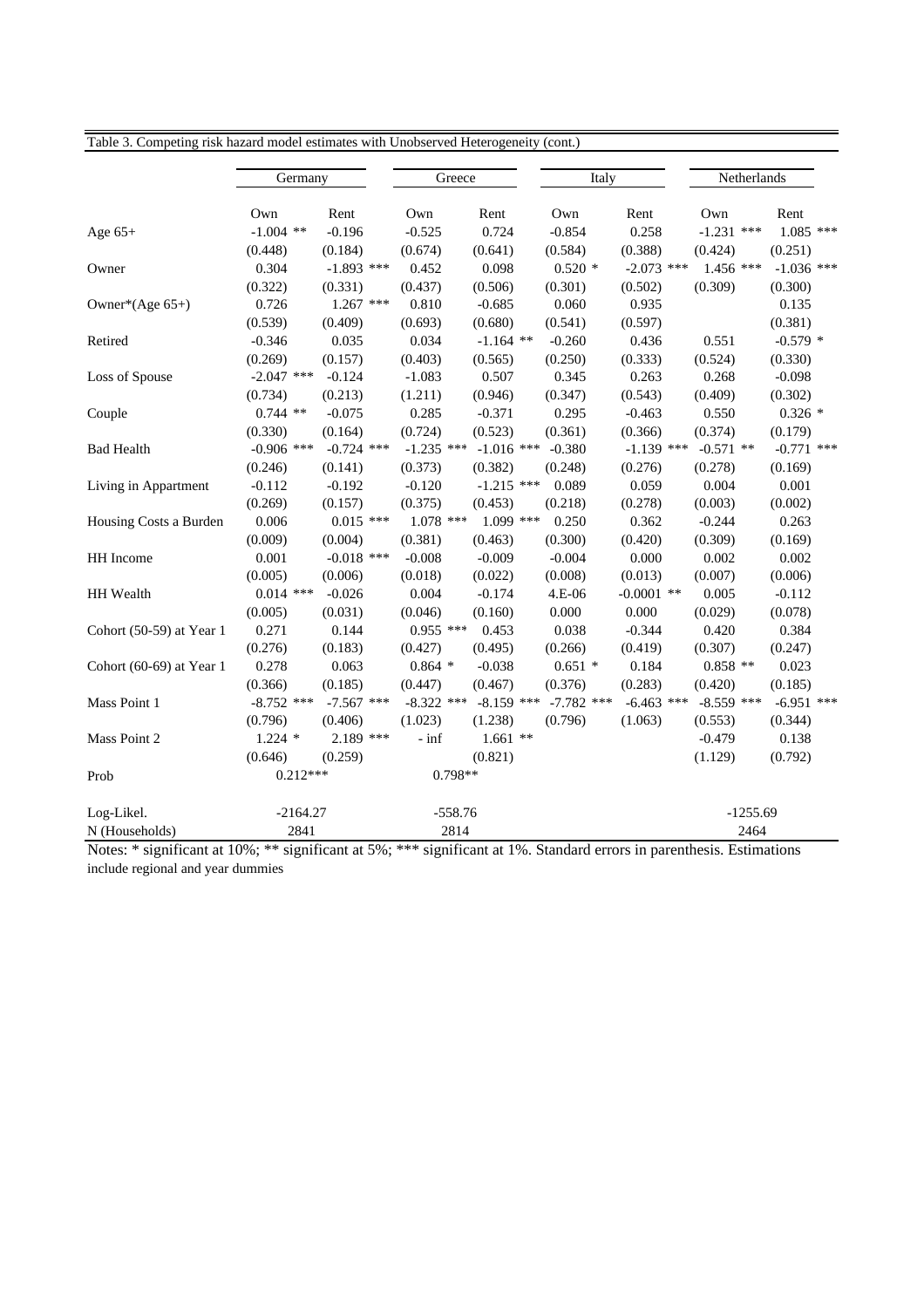| raone of compounts       | That make inoucle estimates with emosserved ricterogeneity (come |              |              |              |              |              |              |              |
|--------------------------|------------------------------------------------------------------|--------------|--------------|--------------|--------------|--------------|--------------|--------------|
|                          | Germany                                                          |              | Greece       |              | Italy        |              | Netherlands  |              |
|                          | Own                                                              | Rent         | Own          | Rent         | Own          | Rent         | Own          | Rent         |
| Age $65+$                | $-1.004$ **                                                      | $-0.196$     | $-0.525$     | 0.724        | $-0.854$     | 0.258        | $-1.231$ *** | $1.085$ ***  |
|                          | (0.448)                                                          | (0.184)      | (0.674)      | (0.641)      | (0.584)      | (0.388)      | (0.424)      | (0.251)      |
| Owner                    | 0.304                                                            | $-1.893$ *** | 0.452        | 0.098        | $0.520*$     | $-2.073$ *** | $1.456$ ***  | $-1.036$ *** |
|                          | (0.322)                                                          | (0.331)      | (0.437)      | (0.506)      | (0.301)      | (0.502)      | (0.309)      | (0.300)      |
| Owner*(Age 65+)          | 0.726                                                            | $1.267$ ***  | 0.810        | $-0.685$     | 0.060        | 0.935        |              | 0.135        |
|                          | (0.539)                                                          | (0.409)      | (0.693)      | (0.680)      | (0.541)      | (0.597)      |              | (0.381)      |
| Retired                  | $-0.346$                                                         | 0.035        | 0.034        | $-1.164$ **  | $-0.260$     | 0.436        | 0.551        | $-0.579$ *   |
|                          | (0.269)                                                          | (0.157)      | (0.403)      | (0.565)      | (0.250)      | (0.333)      | (0.524)      | (0.330)      |
| Loss of Spouse           | $-2.047$ ***                                                     | $-0.124$     | $-1.083$     | 0.507        | 0.345        | 0.263        | 0.268        | $-0.098$     |
|                          | (0.734)                                                          | (0.213)      | (1.211)      | (0.946)      | (0.347)      | (0.543)      | (0.409)      | (0.302)      |
| Couple                   | $0.744$ **                                                       | $-0.075$     | 0.285        | $-0.371$     | 0.295        | $-0.463$     | 0.550        | $0.326*$     |
|                          | (0.330)                                                          | (0.164)      | (0.724)      | (0.523)      | (0.361)      | (0.366)      | (0.374)      | (0.179)      |
| <b>Bad Health</b>        | $-0.906$ ***                                                     | $-0.724$ *** | $-1.235$ *** | $-1.016$ *** | $-0.380$     | $-1.139$ *** | $-0.571$ **  | $-0.771$ *** |
|                          | (0.246)                                                          | (0.141)      | (0.373)      | (0.382)      | (0.248)      | (0.276)      | (0.278)      | (0.169)      |
| Living in Appartment     | $-0.112$                                                         | $-0.192$     | $-0.120$     | $-1.215$ *** | 0.089        | 0.059        | 0.004        | 0.001        |
|                          | (0.269)                                                          | (0.157)      | (0.375)      | (0.453)      | (0.218)      | (0.278)      | (0.003)      | (0.002)      |
| Housing Costs a Burden   | 0.006                                                            | $0.015$ ***  | $1.078$ ***  | $1.099$ ***  | 0.250        | 0.362        | $-0.244$     | 0.263        |
|                          | (0.009)                                                          | (0.004)      | (0.381)      | (0.463)      | (0.300)      | (0.420)      | (0.309)      | (0.169)      |
| HH Income                | 0.001                                                            | $-0.018$ *** | $-0.008$     | $-0.009$     | $-0.004$     | 0.000        | 0.002        | 0.002        |
|                          | (0.005)                                                          | (0.006)      | (0.018)      | (0.022)      | (0.008)      | (0.013)      | (0.007)      | (0.006)      |
| HH Wealth                | $0.014$ ***                                                      | $-0.026$     | 0.004        | $-0.174$     | 4.E-06       | $-0.0001$ ** | 0.005        | $-0.112$     |
|                          | (0.005)                                                          | (0.031)      | (0.046)      | (0.160)      | 0.000        | 0.000        | (0.029)      | (0.078)      |
| Cohort (50-59) at Year 1 | 0.271                                                            | 0.144        | $0.955$ ***  | 0.453        | 0.038        | $-0.344$     | 0.420        | 0.384        |
|                          | (0.276)                                                          | (0.183)      | (0.427)      | (0.495)      | (0.266)      | (0.419)      | (0.307)      | (0.247)      |
| Cohort (60-69) at Year 1 | 0.278                                                            | 0.063        | $0.864$ *    | $-0.038$     | $0.651$ *    | 0.184        | $0.858$ **   | 0.023        |
|                          | (0.366)                                                          | (0.185)      | (0.447)      | (0.467)      | (0.376)      | (0.283)      | (0.420)      | (0.185)      |
| Mass Point 1             | $-8.752$ ***                                                     | $-7.567$ *** | $-8.322$ *** | $-8.159$ *** | $-7.782$ *** | $-6.463$ *** | $-8.559$ *** | $-6.951$ *** |
|                          | (0.796)                                                          | (0.406)      | (1.023)      | (1.238)      | (0.796)      | (1.063)      | (0.553)      | (0.344)      |
| Mass Point 2             | $1.224$ *                                                        | $2.189$ ***  | - inf        | $1.661$ **   |              |              | $-0.479$     | 0.138        |
|                          | (0.646)                                                          | (0.259)      |              | (0.821)      |              |              | (1.129)      | (0.792)      |
| Prob                     | $0.212***$                                                       |              | $0.798**$    |              |              |              |              |              |
| Log-Likel.               | $-2164.27$                                                       |              | $-558.76$    |              |              |              | $-1255.69$   |              |
| N (Households)           | 2841                                                             |              | 2814         |              |              |              | 2464         |              |

Table 3. Competing risk hazard model estimates with Unobserved Heterogeneity (cont.)

Notes: \* significant at 10%; \*\* significant at 5%; \*\*\* significant at 1%. Standard errors in parenthesis. Estimations include regional and year dummies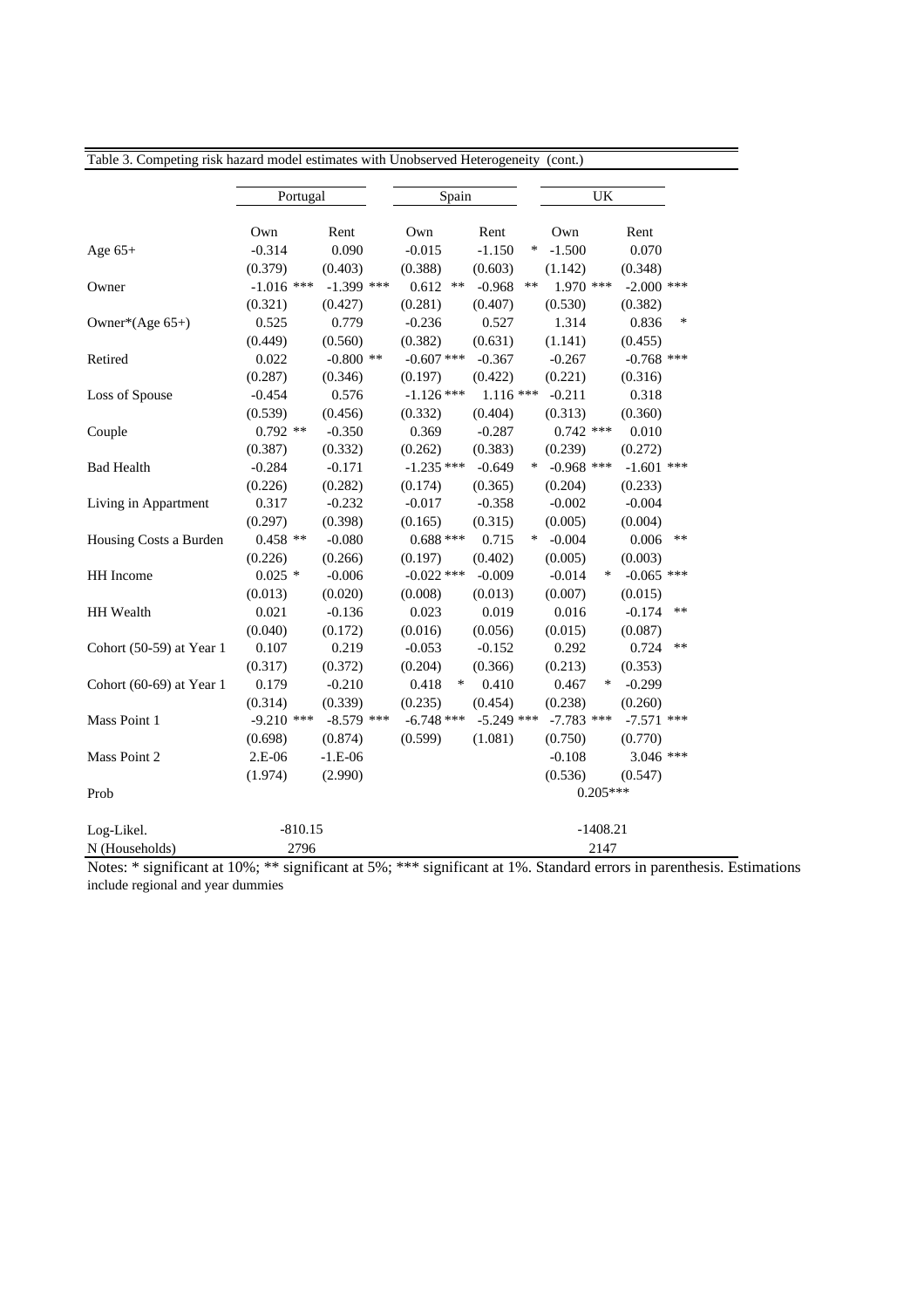| Table 3. Competing risk hazard model estimates with Unobserved Heterogeneity (cont.) |              |              |                 |              |        |              |            |              |        |
|--------------------------------------------------------------------------------------|--------------|--------------|-----------------|--------------|--------|--------------|------------|--------------|--------|
|                                                                                      | Portugal     |              | Spain           |              |        | <b>UK</b>    |            |              |        |
|                                                                                      | Own          | Rent         | Own             | Rent         |        | Own          |            | Rent         |        |
| Age $65+$                                                                            | $-0.314$     | 0.090        | $-0.015$        | $-1.150$     | ∗      | $-1.500$     |            | 0.070        |        |
|                                                                                      | (0.379)      | (0.403)      | (0.388)         | (0.603)      |        | (1.142)      |            | (0.348)      |        |
| Owner                                                                                | $-1.016$ *** | $-1.399$ *** | 0.612<br>$***$  | $-0.968$     | **     | $1.970$ ***  |            | $-2.000$ *** |        |
|                                                                                      | (0.321)      | (0.427)      | (0.281)         | (0.407)      |        | (0.530)      |            | (0.382)      |        |
| Owner*(Age 65+)                                                                      | 0.525        | 0.779        | $-0.236$        | 0.527        |        | 1.314        |            | 0.836        | $\ast$ |
|                                                                                      | (0.449)      | (0.560)      | (0.382)         | (0.631)      |        | (1.141)      |            | (0.455)      |        |
| Retired                                                                              | 0.022        | $-0.800$ **  | $-0.607$ ***    | $-0.367$     |        | $-0.267$     |            | $-0.768$ *** |        |
|                                                                                      | (0.287)      | (0.346)      | (0.197)         | (0.422)      |        | (0.221)      |            | (0.316)      |        |
| Loss of Spouse                                                                       | $-0.454$     | 0.576        | $-1.126$ ***    | $1.116***$   |        | $-0.211$     |            | 0.318        |        |
|                                                                                      | (0.539)      | (0.456)      | (0.332)         | (0.404)      |        | (0.313)      |            | (0.360)      |        |
| Couple                                                                               | $0.792$ **   | $-0.350$     | 0.369           | $-0.287$     |        | $0.742$ ***  |            | 0.010        |        |
|                                                                                      | (0.387)      | (0.332)      | (0.262)         | (0.383)      |        | (0.239)      |            | (0.272)      |        |
| <b>Bad Health</b>                                                                    | $-0.284$     | $-0.171$     | $-1.235$ ***    | $-0.649$     | $\ast$ | $-0.968$ *** |            | $-1.601$ *** |        |
|                                                                                      | (0.226)      | (0.282)      | (0.174)         | (0.365)      |        | (0.204)      |            | (0.233)      |        |
| Living in Appartment                                                                 | 0.317        | $-0.232$     | $-0.017$        | $-0.358$     |        | $-0.002$     |            | $-0.004$     |        |
|                                                                                      | (0.297)      | (0.398)      | (0.165)         | (0.315)      |        | (0.005)      |            | (0.004)      |        |
| Housing Costs a Burden                                                               | $0.458$ **   | $-0.080$     | $0.688***$      | 0.715        | $\ast$ | $-0.004$     |            | 0.006        | $***$  |
|                                                                                      | (0.226)      | (0.266)      | (0.197)         | (0.402)      |        | (0.005)      |            | (0.003)      |        |
| HH Income                                                                            | $0.025$ *    | $-0.006$     | $-0.022$ ***    | $-0.009$     |        | $-0.014$     | ∗          | $-0.065$ *** |        |
|                                                                                      | (0.013)      | (0.020)      | (0.008)         | (0.013)      |        | (0.007)      |            | (0.015)      |        |
| HH Wealth                                                                            | 0.021        | $-0.136$     | 0.023           | 0.019        |        | 0.016        |            | $-0.174$     | $***$  |
|                                                                                      | (0.040)      | (0.172)      | (0.016)         | (0.056)      |        | (0.015)      |            | (0.087)      |        |
| Cohort (50-59) at Year 1                                                             | 0.107        | 0.219        | $-0.053$        | $-0.152$     |        | 0.292        |            | 0.724        | $***$  |
|                                                                                      | (0.317)      | (0.372)      | (0.204)         | (0.366)      |        | (0.213)      |            | (0.353)      |        |
| Cohort $(60-69)$ at Year 1                                                           | 0.179        | $-0.210$     | $\ast$<br>0.418 | 0.410        |        | 0.467        | ∗          | $-0.299$     |        |
|                                                                                      | (0.314)      | (0.339)      | (0.235)         | (0.454)      |        | (0.238)      |            | (0.260)      |        |
| Mass Point 1                                                                         | $-9.210$ *** | $-8.579$ *** | $-6.748$ ***    | $-5.249$ *** |        | $-7.783$ *** |            | $-7.571$ *** |        |
|                                                                                      | (0.698)      | (0.874)      | (0.599)         | (1.081)      |        | (0.750)      |            | (0.770)      |        |
| Mass Point 2                                                                         | 2.E-06       | $-1.E-06$    |                 |              |        | $-0.108$     |            | $3.046$ ***  |        |
|                                                                                      | (1.974)      | (2.990)      |                 |              |        | (0.536)      |            | (0.547)      |        |
| Prob                                                                                 |              |              |                 |              |        |              | $0.205***$ |              |        |
| Log-Likel.                                                                           | $-810.15$    |              |                 |              |        |              | $-1408.21$ |              |        |
| N (Households)                                                                       | 2796         |              |                 |              |        |              | 2147       |              |        |

Notes: \* significant at 10%; \*\* significant at 5%; \*\*\* significant at 1%. Standard errors in parenthesis. Estimations include regional and year dummies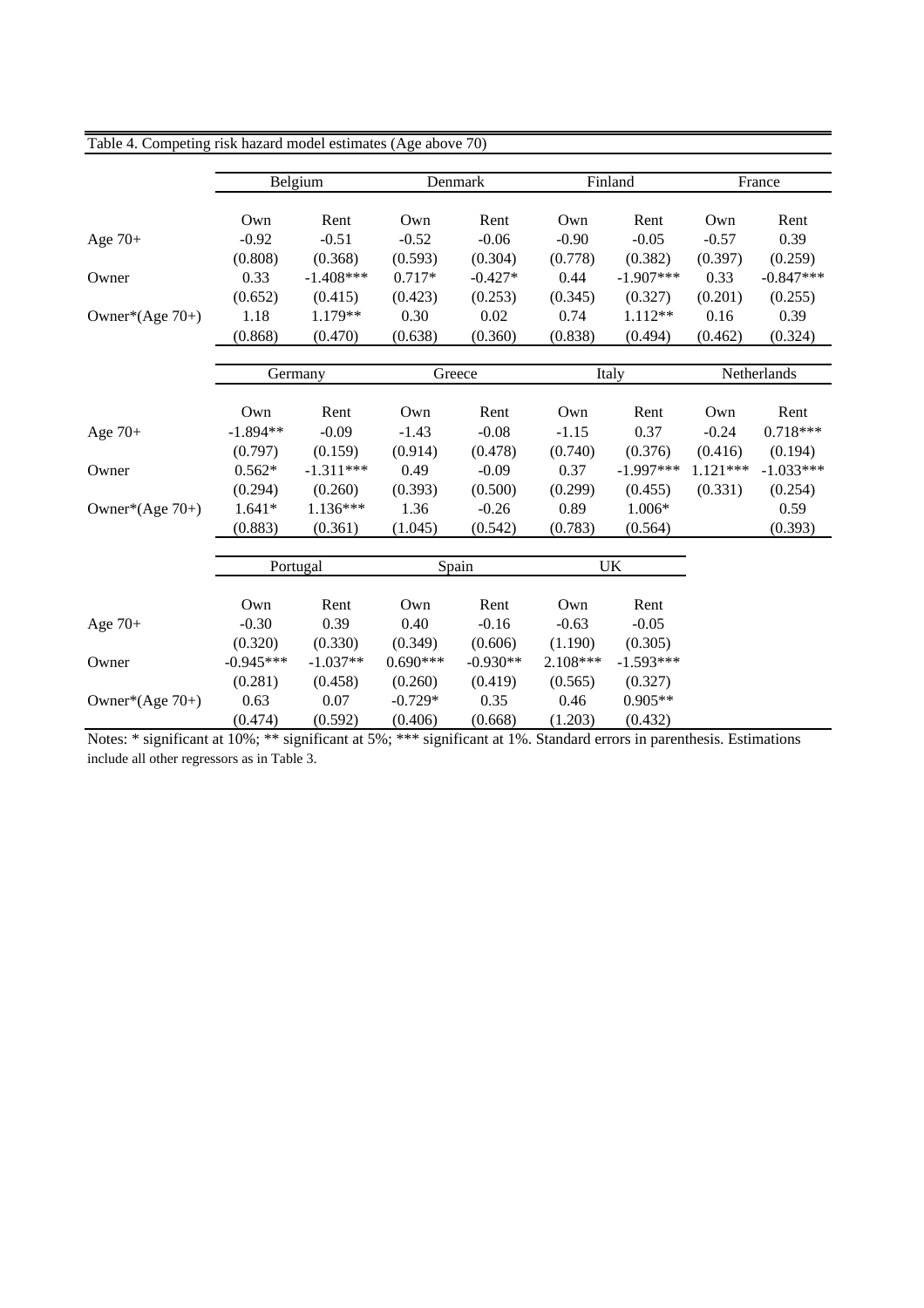| Table 4. Competing risk nazard model estimates (Age above 70) |             |             |            |                 |          |             |             |             |  |
|---------------------------------------------------------------|-------------|-------------|------------|-----------------|----------|-------------|-------------|-------------|--|
|                                                               |             |             |            |                 |          |             |             |             |  |
|                                                               |             | Belgium     |            | Denmark         |          | Finland     |             | France      |  |
|                                                               | Own         | Rent        | Own        | Rent            | Own      | Rent        | Own         | Rent        |  |
| Age $70+$                                                     | $-0.92$     | $-0.51$     | $-0.52$    | $-0.06$         | $-0.90$  | $-0.05$     | $-0.57$     | 0.39        |  |
|                                                               | (0.808)     | (0.368)     | (0.593)    | (0.304)         | (0.778)  | (0.382)     | (0.397)     | (0.259)     |  |
| Owner                                                         | 0.33        | $-1.408***$ | $0.717*$   | $-0.427*$       | 0.44     | $-1.907***$ | 0.33        | $-0.847***$ |  |
|                                                               | (0.652)     | (0.415)     | (0.423)    | (0.253)         | (0.345)  | (0.327)     | (0.201)     | (0.255)     |  |
| Owner*(Age 70+)                                               | 1.18        | 1.179**     | 0.30       | 0.02            | 0.74     | 1.112**     | 0.16        | 0.39        |  |
|                                                               | (0.868)     | (0.470)     | (0.638)    | (0.360)         | (0.838)  | (0.494)     | (0.462)     | (0.324)     |  |
|                                                               |             |             |            |                 |          |             |             |             |  |
|                                                               | Germany     |             |            | Greece<br>Italy |          |             | Netherlands |             |  |
|                                                               |             |             |            |                 |          |             |             |             |  |
|                                                               | Own         | Rent        | Own        | Rent            | Own      | Rent        | Own         | Rent        |  |
| Age $70+$                                                     | $-1.894**$  | $-0.09$     | $-1.43$    | $-0.08$         | $-1.15$  | 0.37        | $-0.24$     | $0.718***$  |  |
|                                                               | (0.797)     | (0.159)     | (0.914)    | (0.478)         | (0.740)  | (0.376)     | (0.416)     | (0.194)     |  |
| Owner                                                         | $0.562*$    | $-1.311***$ | 0.49       | $-0.09$         | 0.37     | $-1.997***$ | $1.121***$  | $-1.033***$ |  |
|                                                               | (0.294)     | (0.260)     | (0.393)    | (0.500)         | (0.299)  | (0.455)     | (0.331)     | (0.254)     |  |
| Owner* $(Age 70+)$                                            | $1.641*$    | $1.136***$  | 1.36       | $-0.26$         | 0.89     | 1.006*      |             | 0.59        |  |
|                                                               | (0.883)     | (0.361)     | (1.045)    | (0.542)         | (0.783)  | (0.564)     |             | (0.393)     |  |
|                                                               |             |             |            |                 |          |             |             |             |  |
|                                                               |             | Portugal    |            | Spain           |          | <b>UK</b>   |             |             |  |
|                                                               |             |             |            |                 |          |             |             |             |  |
|                                                               | Own         | Rent        | Own        | Rent            | Own      | Rent        |             |             |  |
| Age $70+$                                                     | $-0.30$     | 0.39        | 0.40       | $-0.16$         | $-0.63$  | $-0.05$     |             |             |  |
|                                                               | (0.320)     | (0.330)     | (0.349)    | (0.606)         | (1.190)  | (0.305)     |             |             |  |
| Owner                                                         | $-0.945***$ | $-1.037**$  | $0.690***$ | $-0.930**$      | 2.108*** | $-1.593***$ |             |             |  |
|                                                               | (0.281)     | (0.458)     | (0.260)    | (0.419)         | (0.565)  | (0.327)     |             |             |  |
| Owner* $(Age 70+)$                                            | 0.63        | 0.07        | $-0.729*$  | 0.35            | 0.46     | $0.905**$   |             |             |  |
|                                                               | (0.474)     | (0.592)     | (0.406)    | (0.668)         | (1.203)  | (0.432)     |             |             |  |

Table 4. Competing risk hazard model estimates (Age above 70)

Notes: \* significant at 10%; \*\* significant at 5%; \*\*\* significant at 1%. Standard errors in parenthesis. Estimations include all other regressors as in Table 3.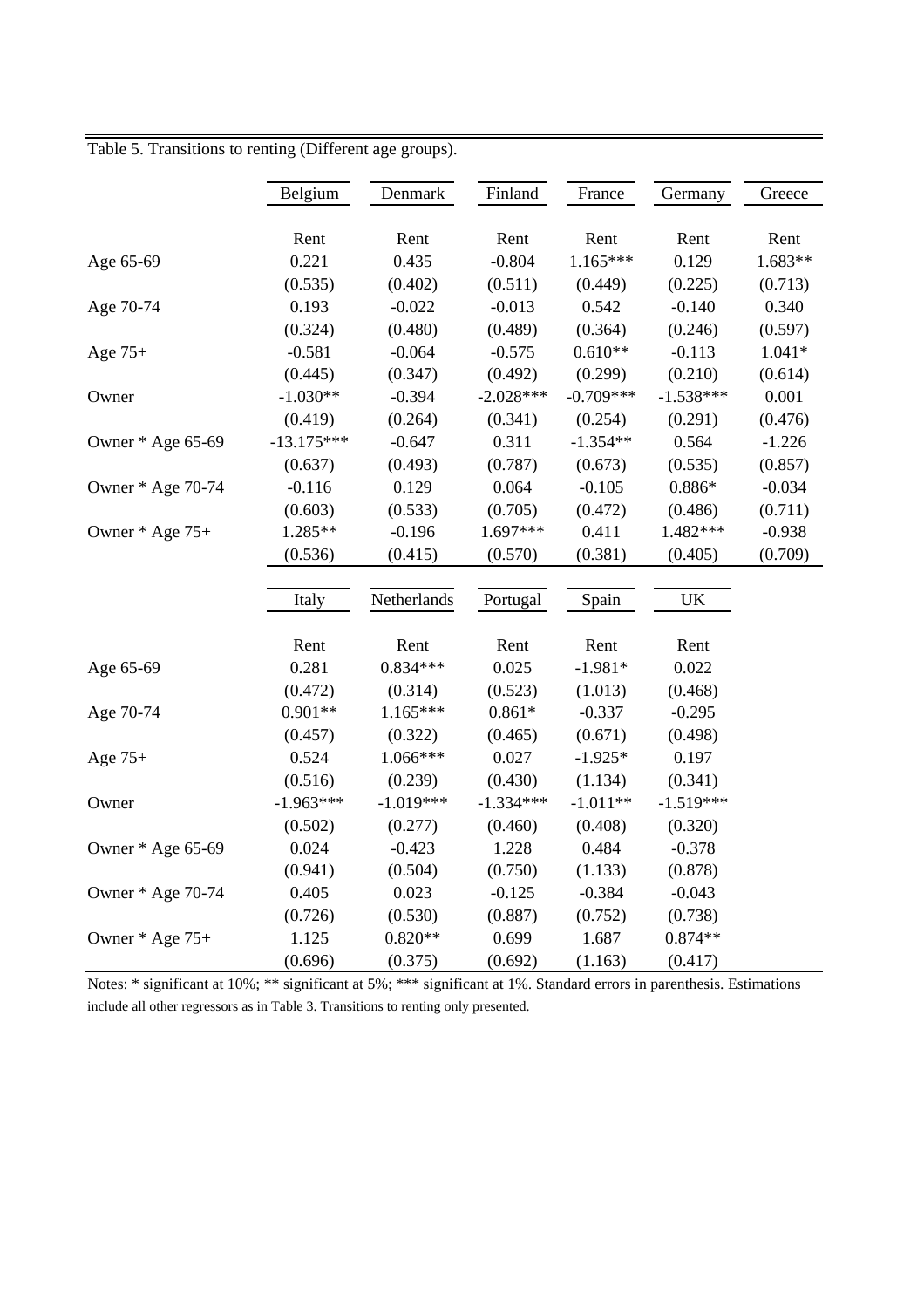|                   | Belgium      | Denmark     | Finland     | France      | Germany                           | Greece   |
|-------------------|--------------|-------------|-------------|-------------|-----------------------------------|----------|
|                   | Rent         | Rent        | Rent        | Rent        | Rent                              | Rent     |
| Age 65-69         | 0.221        | 0.435       | $-0.804$    | $1.165***$  | 0.129                             | 1.683**  |
|                   | (0.535)      | (0.402)     | (0.511)     | (0.449)     | (0.225)                           | (0.713)  |
| Age 70-74         | 0.193        | $-0.022$    | $-0.013$    | 0.542       | $-0.140$                          | 0.340    |
|                   | (0.324)      | (0.480)     | (0.489)     | (0.364)     | (0.246)                           | (0.597)  |
| Age $75+$         | $-0.581$     | $-0.064$    | $-0.575$    | $0.610**$   | $-0.113$                          | $1.041*$ |
|                   | (0.445)      | (0.347)     | (0.492)     | (0.299)     | (0.210)                           | (0.614)  |
| Owner             | $-1.030**$   | $-0.394$    | $-2.028***$ | $-0.709***$ | $-1.538***$                       | 0.001    |
|                   | (0.419)      | (0.264)     | (0.341)     | (0.254)     | (0.291)                           | (0.476)  |
| Owner * Age 65-69 | $-13.175***$ | $-0.647$    | 0.311       | $-1.354**$  | 0.564                             | $-1.226$ |
|                   | (0.637)      | (0.493)     | (0.787)     | (0.673)     | (0.535)                           | (0.857)  |
| Owner * Age 70-74 | $-0.116$     | 0.129       | 0.064       | $-0.105$    | $0.886*$                          | $-0.034$ |
|                   | (0.603)      | (0.533)     | (0.705)     | (0.472)     | (0.486)                           | (0.711)  |
| Owner * Age 75+   | $1.285**$    | $-0.196$    | 1.697***    | 0.411       | 1.482***                          | $-0.938$ |
|                   | (0.536)      | (0.415)     | (0.570)     | (0.381)     | (0.405)                           | (0.709)  |
|                   |              |             |             |             |                                   |          |
|                   | Italy        | Netherlands | Portugal    | Spain       | $\ensuremath{\mathrm{UK}}\xspace$ |          |
|                   | Rent         | Rent        | Rent        | Rent        | Rent                              |          |
| Age 65-69         | 0.281        | $0.834***$  | 0.025       | $-1.981*$   | 0.022                             |          |
|                   | (0.472)      | (0.314)     | (0.523)     | (1.013)     | (0.468)                           |          |
| Age 70-74         | $0.901**$    | $1.165***$  | $0.861*$    | $-0.337$    | $-0.295$                          |          |
|                   | (0.457)      | (0.322)     | (0.465)     | (0.671)     | (0.498)                           |          |
| Age 75+           | 0.524        | 1.066***    | 0.027       | $-1.925*$   | 0.197                             |          |
|                   | (0.516)      | (0.239)     | (0.430)     | (1.134)     | (0.341)                           |          |
| Owner             | $-1.963***$  | $-1.019***$ | $-1.334***$ | $-1.011**$  | $-1.519***$                       |          |
|                   | (0.502)      | (0.277)     | (0.460)     | (0.408)     | (0.320)                           |          |
| Owner * Age 65-69 | 0.024        | $-0.423$    | 1.228       | 0.484       | $-0.378$                          |          |
|                   | (0.941)      | (0.504)     | (0.750)     | (1.133)     | (0.878)                           |          |
| Owner * Age 70-74 | 0.405        | 0.023       | $-0.125$    | $-0.384$    | $-0.043$                          |          |
|                   | (0.726)      | (0.530)     | (0.887)     | (0.752)     | (0.738)                           |          |
| Owner $*$ Age 75+ | 1.125        | $0.820**$   | 0.699       | 1.687       | $0.874**$                         |          |
|                   | (0.696)      | (0.375)     | (0.692)     | (1.163)     | (0.417)                           |          |

### $\overline{\phantom{a}}$  Table 5. Transitions to renting (Different age groups).

Notes: \* significant at 10%; \*\* significant at 5%; \*\*\* significant at 1%. Standard errors in parenthesis. Estimations include all other regressors as in Table 3. Transitions to renting only presented.